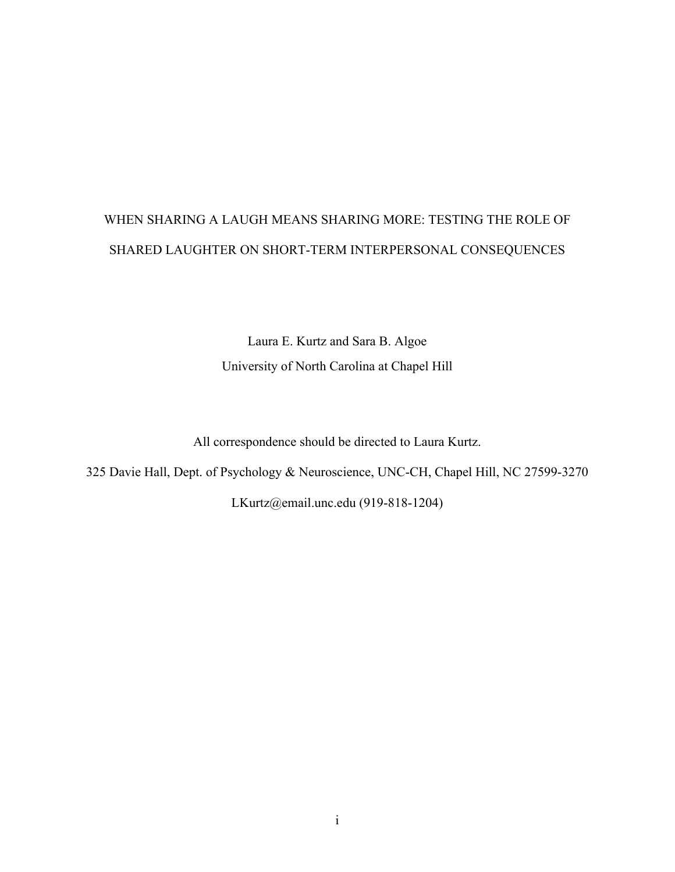# WHEN SHARING A LAUGH MEANS SHARING MORE: TESTING THE ROLE OF SHARED LAUGHTER ON SHORT-TERM INTERPERSONAL CONSEQUENCES

Laura E. Kurtz and Sara B. Algoe University of North Carolina at Chapel Hill

All correspondence should be directed to Laura Kurtz.

325 Davie Hall, Dept. of Psychology & Neuroscience, UNC-CH, Chapel Hill, NC 27599-3270

LKurtz@email.unc.edu (919-818-1204)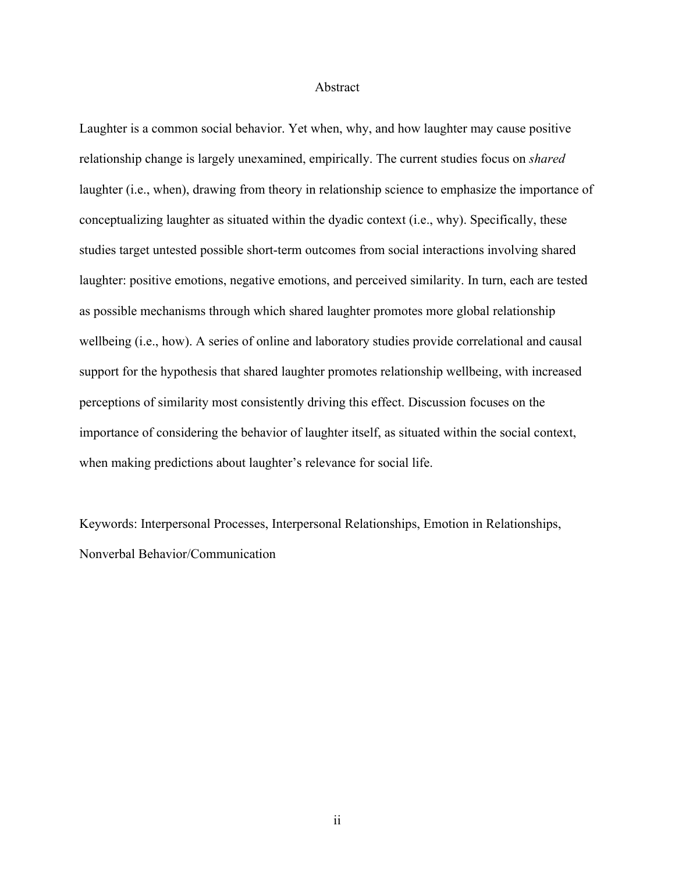#### Abstract

Laughter is a common social behavior. Yet when, why, and how laughter may cause positive relationship change is largely unexamined, empirically. The current studies focus on *shared*  laughter (i.e., when), drawing from theory in relationship science to emphasize the importance of conceptualizing laughter as situated within the dyadic context (i.e., why). Specifically, these studies target untested possible short-term outcomes from social interactions involving shared laughter: positive emotions, negative emotions, and perceived similarity. In turn, each are tested as possible mechanisms through which shared laughter promotes more global relationship wellbeing (i.e., how). A series of online and laboratory studies provide correlational and causal support for the hypothesis that shared laughter promotes relationship wellbeing, with increased perceptions of similarity most consistently driving this effect. Discussion focuses on the importance of considering the behavior of laughter itself, as situated within the social context, when making predictions about laughter's relevance for social life.

Keywords: Interpersonal Processes, Interpersonal Relationships, Emotion in Relationships, Nonverbal Behavior/Communication

ii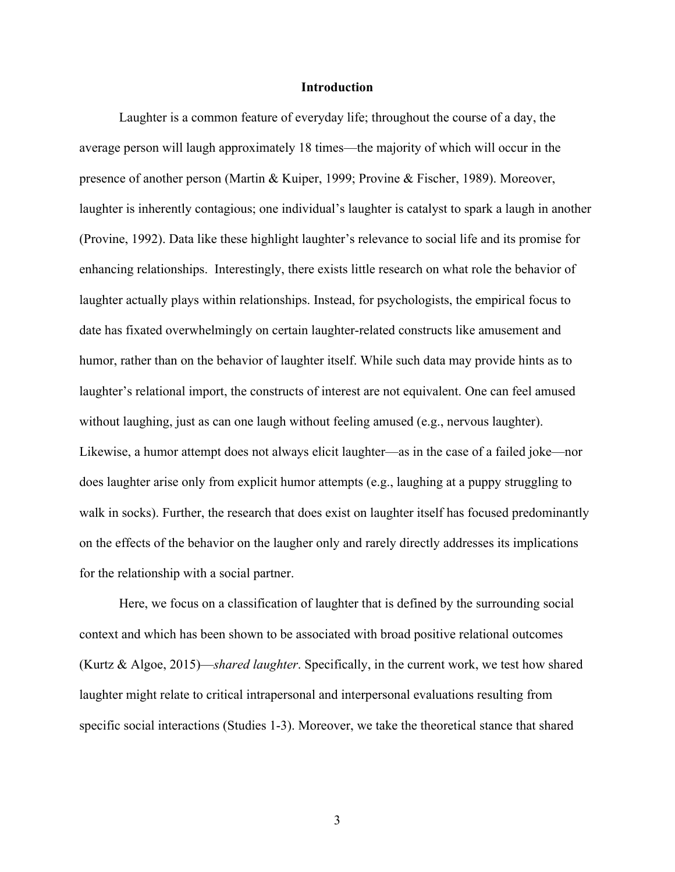#### **Introduction**

Laughter is a common feature of everyday life; throughout the course of a day, the average person will laugh approximately 18 times—the majority of which will occur in the presence of another person (Martin & Kuiper, 1999; Provine & Fischer, 1989). Moreover, laughter is inherently contagious; one individual's laughter is catalyst to spark a laugh in another (Provine, 1992). Data like these highlight laughter's relevance to social life and its promise for enhancing relationships. Interestingly, there exists little research on what role the behavior of laughter actually plays within relationships. Instead, for psychologists, the empirical focus to date has fixated overwhelmingly on certain laughter-related constructs like amusement and humor, rather than on the behavior of laughter itself. While such data may provide hints as to laughter's relational import, the constructs of interest are not equivalent. One can feel amused without laughing, just as can one laugh without feeling amused (e.g., nervous laughter). Likewise, a humor attempt does not always elicit laughter—as in the case of a failed joke—nor does laughter arise only from explicit humor attempts (e.g., laughing at a puppy struggling to walk in socks). Further, the research that does exist on laughter itself has focused predominantly on the effects of the behavior on the laugher only and rarely directly addresses its implications for the relationship with a social partner.

Here, we focus on a classification of laughter that is defined by the surrounding social context and which has been shown to be associated with broad positive relational outcomes (Kurtz & Algoe, 2015)—*shared laughter*. Specifically, in the current work, we test how shared laughter might relate to critical intrapersonal and interpersonal evaluations resulting from specific social interactions (Studies 1-3). Moreover, we take the theoretical stance that shared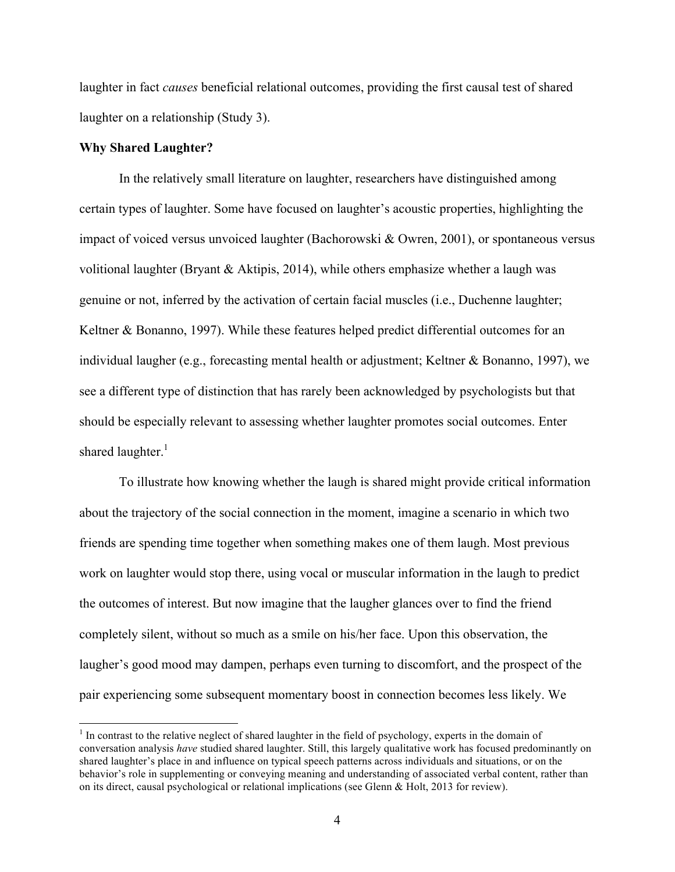laughter in fact *causes* beneficial relational outcomes, providing the first causal test of shared laughter on a relationship (Study 3).

#### **Why Shared Laughter?**

<u> 1989 - Johann Stein, markin film yn y breninn y breninn y breninn y breninn y breninn y breninn y breninn y b</u>

In the relatively small literature on laughter, researchers have distinguished among certain types of laughter. Some have focused on laughter's acoustic properties, highlighting the impact of voiced versus unvoiced laughter (Bachorowski & Owren, 2001), or spontaneous versus volitional laughter (Bryant  $\&$  Aktipis, 2014), while others emphasize whether a laugh was genuine or not, inferred by the activation of certain facial muscles (i.e., Duchenne laughter; Keltner & Bonanno, 1997). While these features helped predict differential outcomes for an individual laugher (e.g., forecasting mental health or adjustment; Keltner & Bonanno, 1997), we see a different type of distinction that has rarely been acknowledged by psychologists but that should be especially relevant to assessing whether laughter promotes social outcomes. Enter shared laughter.<sup>1</sup>

To illustrate how knowing whether the laugh is shared might provide critical information about the trajectory of the social connection in the moment, imagine a scenario in which two friends are spending time together when something makes one of them laugh. Most previous work on laughter would stop there, using vocal or muscular information in the laugh to predict the outcomes of interest. But now imagine that the laugher glances over to find the friend completely silent, without so much as a smile on his/her face. Upon this observation, the laugher's good mood may dampen, perhaps even turning to discomfort, and the prospect of the pair experiencing some subsequent momentary boost in connection becomes less likely. We

<sup>&</sup>lt;sup>1</sup> In contrast to the relative neglect of shared laughter in the field of psychology, experts in the domain of conversation analysis *have* studied shared laughter. Still, this largely qualitative work has focused predominantly on shared laughter's place in and influence on typical speech patterns across individuals and situations, or on the behavior's role in supplementing or conveying meaning and understanding of associated verbal content, rather than on its direct, causal psychological or relational implications (see Glenn & Holt, 2013 for review).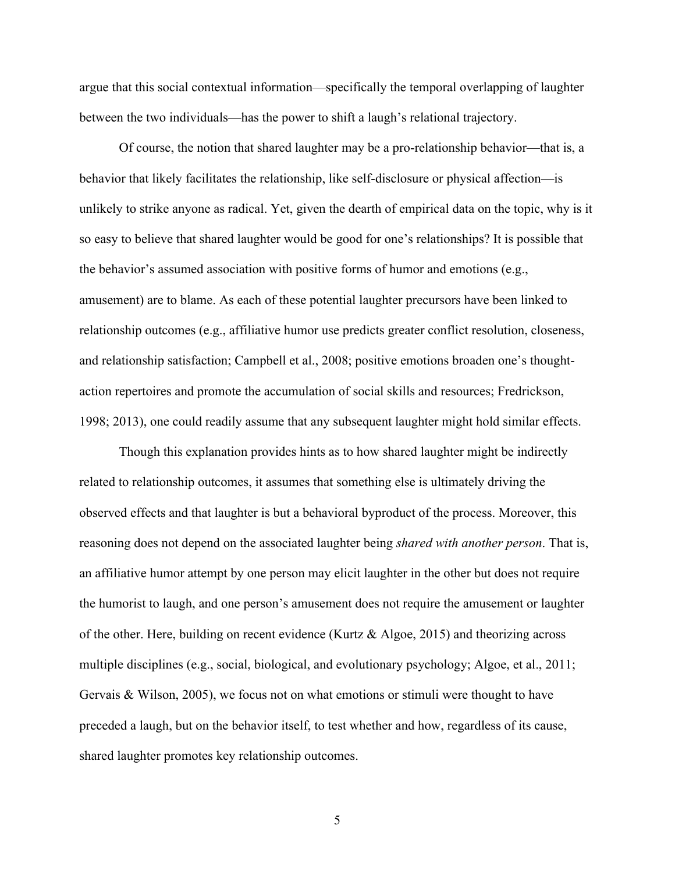argue that this social contextual information—specifically the temporal overlapping of laughter between the two individuals—has the power to shift a laugh's relational trajectory.

Of course, the notion that shared laughter may be a pro-relationship behavior—that is, a behavior that likely facilitates the relationship, like self-disclosure or physical affection—is unlikely to strike anyone as radical. Yet, given the dearth of empirical data on the topic, why is it so easy to believe that shared laughter would be good for one's relationships? It is possible that the behavior's assumed association with positive forms of humor and emotions (e.g., amusement) are to blame. As each of these potential laughter precursors have been linked to relationship outcomes (e.g., affiliative humor use predicts greater conflict resolution, closeness, and relationship satisfaction; Campbell et al., 2008; positive emotions broaden one's thoughtaction repertoires and promote the accumulation of social skills and resources; Fredrickson, 1998; 2013), one could readily assume that any subsequent laughter might hold similar effects.

Though this explanation provides hints as to how shared laughter might be indirectly related to relationship outcomes, it assumes that something else is ultimately driving the observed effects and that laughter is but a behavioral byproduct of the process. Moreover, this reasoning does not depend on the associated laughter being *shared with another person*. That is, an affiliative humor attempt by one person may elicit laughter in the other but does not require the humorist to laugh, and one person's amusement does not require the amusement or laughter of the other. Here, building on recent evidence (Kurtz  $\&$  Algoe, 2015) and theorizing across multiple disciplines (e.g., social, biological, and evolutionary psychology; Algoe, et al., 2011; Gervais & Wilson, 2005), we focus not on what emotions or stimuli were thought to have preceded a laugh, but on the behavior itself, to test whether and how, regardless of its cause, shared laughter promotes key relationship outcomes.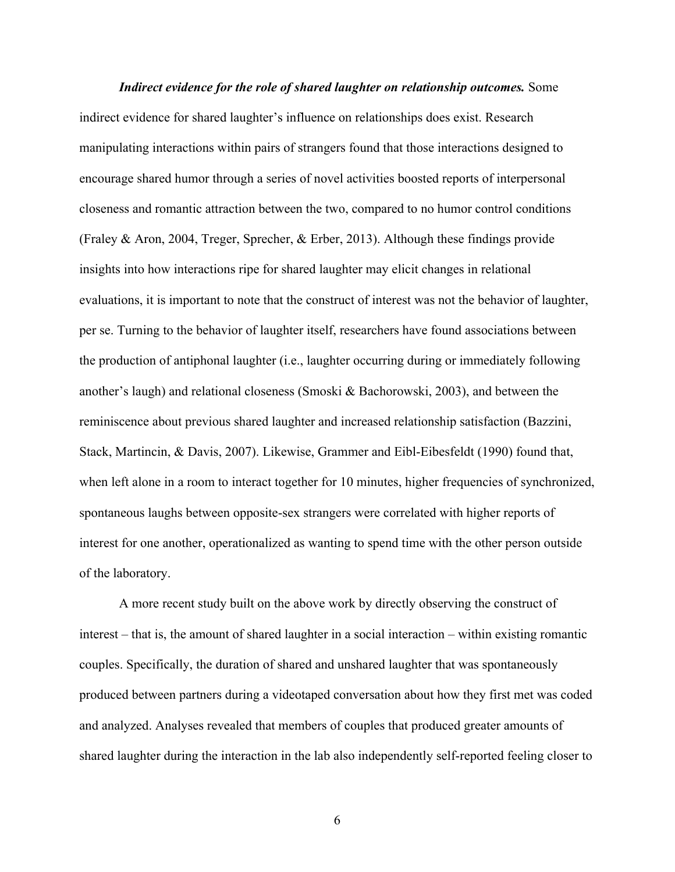*Indirect evidence for the role of shared laughter on relationship outcomes.* Some indirect evidence for shared laughter's influence on relationships does exist. Research manipulating interactions within pairs of strangers found that those interactions designed to encourage shared humor through a series of novel activities boosted reports of interpersonal closeness and romantic attraction between the two, compared to no humor control conditions (Fraley & Aron, 2004, Treger, Sprecher, & Erber, 2013). Although these findings provide insights into how interactions ripe for shared laughter may elicit changes in relational evaluations, it is important to note that the construct of interest was not the behavior of laughter, per se. Turning to the behavior of laughter itself, researchers have found associations between the production of antiphonal laughter (i.e., laughter occurring during or immediately following another's laugh) and relational closeness (Smoski  $\&$  Bachorowski, 2003), and between the reminiscence about previous shared laughter and increased relationship satisfaction (Bazzini, Stack, Martincin, & Davis, 2007). Likewise, Grammer and Eibl-Eibesfeldt (1990) found that, when left alone in a room to interact together for 10 minutes, higher frequencies of synchronized, spontaneous laughs between opposite-sex strangers were correlated with higher reports of interest for one another, operationalized as wanting to spend time with the other person outside of the laboratory.

A more recent study built on the above work by directly observing the construct of interest – that is, the amount of shared laughter in a social interaction – within existing romantic couples. Specifically, the duration of shared and unshared laughter that was spontaneously produced between partners during a videotaped conversation about how they first met was coded and analyzed. Analyses revealed that members of couples that produced greater amounts of shared laughter during the interaction in the lab also independently self-reported feeling closer to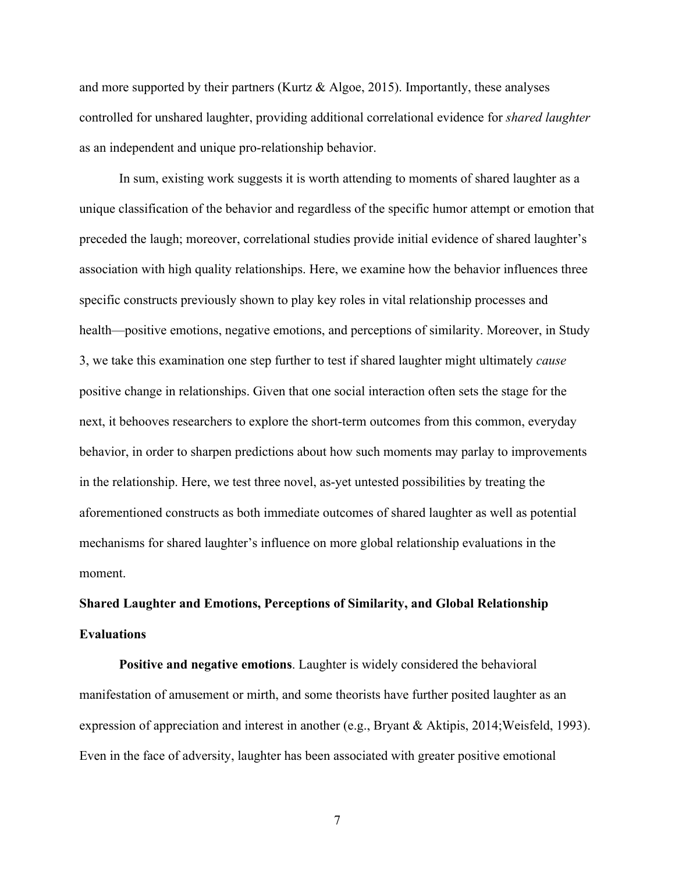and more supported by their partners (Kurtz  $\&$  Algoe, 2015). Importantly, these analyses controlled for unshared laughter, providing additional correlational evidence for *shared laughter* as an independent and unique pro-relationship behavior.

In sum, existing work suggests it is worth attending to moments of shared laughter as a unique classification of the behavior and regardless of the specific humor attempt or emotion that preceded the laugh; moreover, correlational studies provide initial evidence of shared laughter's association with high quality relationships. Here, we examine how the behavior influences three specific constructs previously shown to play key roles in vital relationship processes and health—positive emotions, negative emotions, and perceptions of similarity. Moreover, in Study 3, we take this examination one step further to test if shared laughter might ultimately *cause* positive change in relationships. Given that one social interaction often sets the stage for the next, it behooves researchers to explore the short-term outcomes from this common, everyday behavior, in order to sharpen predictions about how such moments may parlay to improvements in the relationship. Here, we test three novel, as-yet untested possibilities by treating the aforementioned constructs as both immediate outcomes of shared laughter as well as potential mechanisms for shared laughter's influence on more global relationship evaluations in the moment.

## **Shared Laughter and Emotions, Perceptions of Similarity, and Global Relationship Evaluations**

**Positive and negative emotions**. Laughter is widely considered the behavioral manifestation of amusement or mirth, and some theorists have further posited laughter as an expression of appreciation and interest in another (e.g., Bryant & Aktipis, 2014;Weisfeld, 1993). Even in the face of adversity, laughter has been associated with greater positive emotional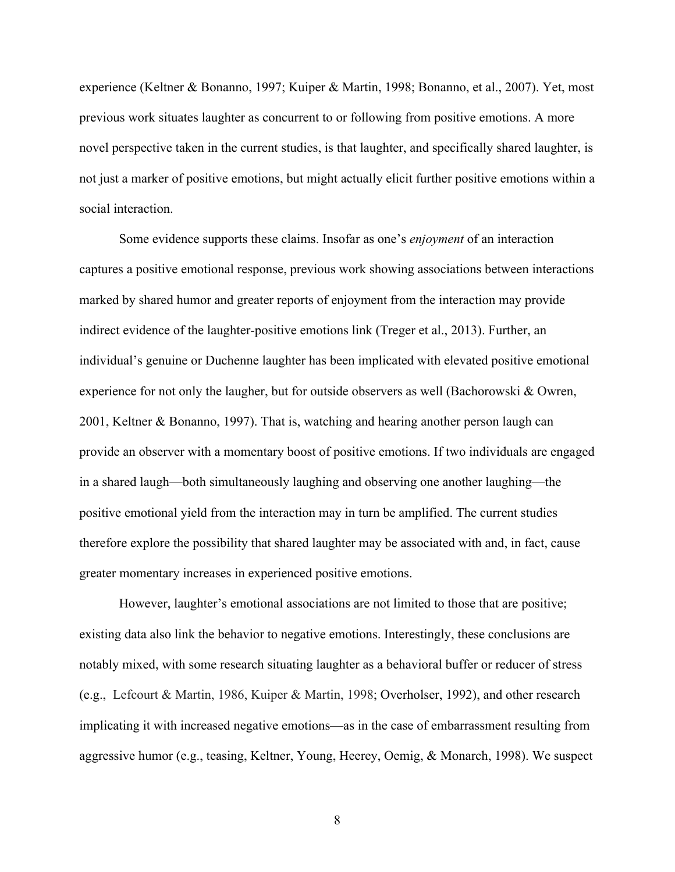experience (Keltner & Bonanno, 1997; Kuiper & Martin, 1998; Bonanno, et al., 2007). Yet, most previous work situates laughter as concurrent to or following from positive emotions. A more novel perspective taken in the current studies, is that laughter, and specifically shared laughter, is not just a marker of positive emotions, but might actually elicit further positive emotions within a social interaction.

Some evidence supports these claims. Insofar as one's *enjoyment* of an interaction captures a positive emotional response, previous work showing associations between interactions marked by shared humor and greater reports of enjoyment from the interaction may provide indirect evidence of the laughter-positive emotions link (Treger et al., 2013). Further, an individual's genuine or Duchenne laughter has been implicated with elevated positive emotional experience for not only the laugher, but for outside observers as well (Bachorowski & Owren, 2001, Keltner & Bonanno, 1997). That is, watching and hearing another person laugh can provide an observer with a momentary boost of positive emotions. If two individuals are engaged in a shared laugh—both simultaneously laughing and observing one another laughing—the positive emotional yield from the interaction may in turn be amplified. The current studies therefore explore the possibility that shared laughter may be associated with and, in fact, cause greater momentary increases in experienced positive emotions.

However, laughter's emotional associations are not limited to those that are positive; existing data also link the behavior to negative emotions. Interestingly, these conclusions are notably mixed, with some research situating laughter as a behavioral buffer or reducer of stress (e.g., Lefcourt & Martin, 1986, Kuiper & Martin, 1998; Overholser, 1992), and other research implicating it with increased negative emotions—as in the case of embarrassment resulting from aggressive humor (e.g., teasing, Keltner, Young, Heerey, Oemig, & Monarch, 1998). We suspect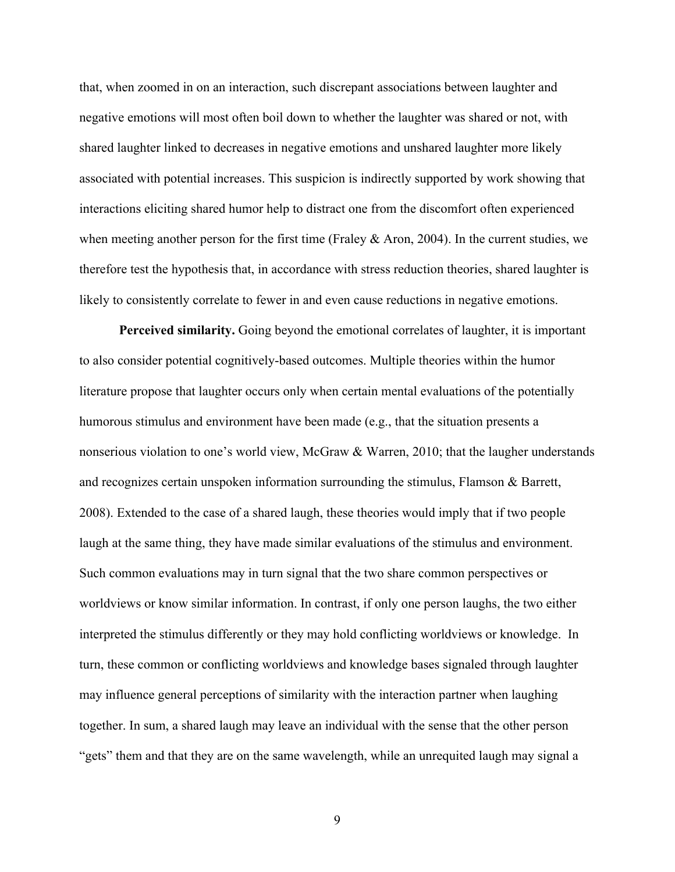that, when zoomed in on an interaction, such discrepant associations between laughter and negative emotions will most often boil down to whether the laughter was shared or not, with shared laughter linked to decreases in negative emotions and unshared laughter more likely associated with potential increases. This suspicion is indirectly supported by work showing that interactions eliciting shared humor help to distract one from the discomfort often experienced when meeting another person for the first time (Fraley  $\&$  Aron, 2004). In the current studies, we therefore test the hypothesis that, in accordance with stress reduction theories, shared laughter is likely to consistently correlate to fewer in and even cause reductions in negative emotions.

**Perceived similarity.** Going beyond the emotional correlates of laughter, it is important to also consider potential cognitively-based outcomes. Multiple theories within the humor literature propose that laughter occurs only when certain mental evaluations of the potentially humorous stimulus and environment have been made (e.g., that the situation presents a nonserious violation to one's world view, McGraw & Warren, 2010; that the laugher understands and recognizes certain unspoken information surrounding the stimulus, Flamson & Barrett, 2008). Extended to the case of a shared laugh, these theories would imply that if two people laugh at the same thing, they have made similar evaluations of the stimulus and environment. Such common evaluations may in turn signal that the two share common perspectives or worldviews or know similar information. In contrast, if only one person laughs, the two either interpreted the stimulus differently or they may hold conflicting worldviews or knowledge. In turn, these common or conflicting worldviews and knowledge bases signaled through laughter may influence general perceptions of similarity with the interaction partner when laughing together. In sum, a shared laugh may leave an individual with the sense that the other person "gets" them and that they are on the same wavelength, while an unrequited laugh may signal a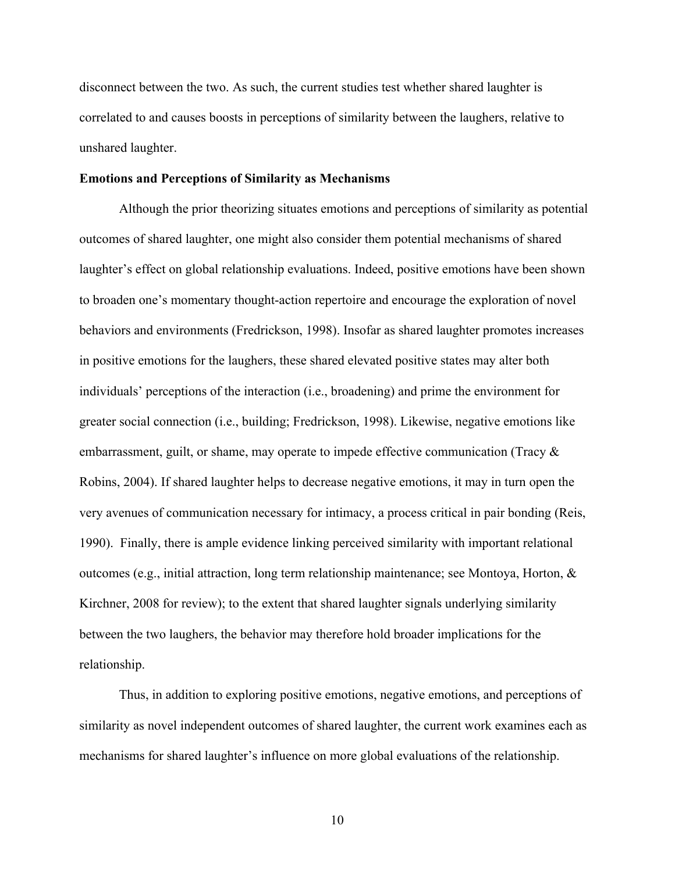disconnect between the two. As such, the current studies test whether shared laughter is correlated to and causes boosts in perceptions of similarity between the laughers, relative to unshared laughter.

#### **Emotions and Perceptions of Similarity as Mechanisms**

Although the prior theorizing situates emotions and perceptions of similarity as potential outcomes of shared laughter, one might also consider them potential mechanisms of shared laughter's effect on global relationship evaluations. Indeed, positive emotions have been shown to broaden one's momentary thought-action repertoire and encourage the exploration of novel behaviors and environments (Fredrickson, 1998). Insofar as shared laughter promotes increases in positive emotions for the laughers, these shared elevated positive states may alter both individuals' perceptions of the interaction (i.e., broadening) and prime the environment for greater social connection (i.e., building; Fredrickson, 1998). Likewise, negative emotions like embarrassment, guilt, or shame, may operate to impede effective communication (Tracy & Robins, 2004). If shared laughter helps to decrease negative emotions, it may in turn open the very avenues of communication necessary for intimacy, a process critical in pair bonding (Reis, 1990). Finally, there is ample evidence linking perceived similarity with important relational outcomes (e.g., initial attraction, long term relationship maintenance; see Montoya, Horton, & Kirchner, 2008 for review); to the extent that shared laughter signals underlying similarity between the two laughers, the behavior may therefore hold broader implications for the relationship.

Thus, in addition to exploring positive emotions, negative emotions, and perceptions of similarity as novel independent outcomes of shared laughter, the current work examines each as mechanisms for shared laughter's influence on more global evaluations of the relationship.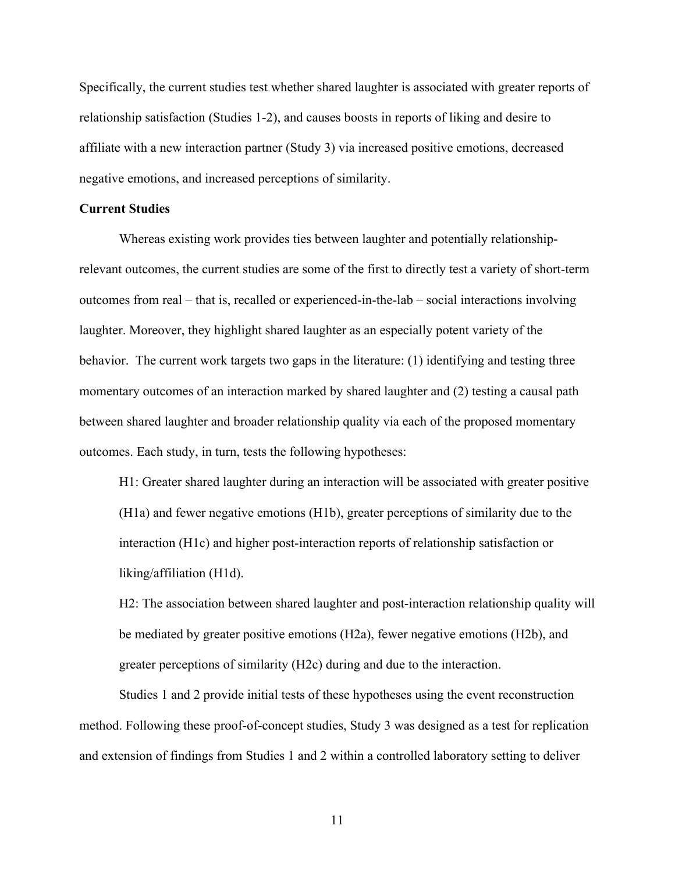Specifically, the current studies test whether shared laughter is associated with greater reports of relationship satisfaction (Studies 1-2), and causes boosts in reports of liking and desire to affiliate with a new interaction partner (Study 3) via increased positive emotions, decreased negative emotions, and increased perceptions of similarity.

#### **Current Studies**

Whereas existing work provides ties between laughter and potentially relationshiprelevant outcomes, the current studies are some of the first to directly test a variety of short-term outcomes from real – that is, recalled or experienced-in-the-lab – social interactions involving laughter. Moreover, they highlight shared laughter as an especially potent variety of the behavior. The current work targets two gaps in the literature: (1) identifying and testing three momentary outcomes of an interaction marked by shared laughter and (2) testing a causal path between shared laughter and broader relationship quality via each of the proposed momentary outcomes. Each study, in turn, tests the following hypotheses:

H1: Greater shared laughter during an interaction will be associated with greater positive (H1a) and fewer negative emotions (H1b), greater perceptions of similarity due to the interaction (H1c) and higher post-interaction reports of relationship satisfaction or liking/affiliation (H1d).

H2: The association between shared laughter and post-interaction relationship quality will be mediated by greater positive emotions (H2a), fewer negative emotions (H2b), and greater perceptions of similarity (H2c) during and due to the interaction.

Studies 1 and 2 provide initial tests of these hypotheses using the event reconstruction method. Following these proof-of-concept studies, Study 3 was designed as a test for replication and extension of findings from Studies 1 and 2 within a controlled laboratory setting to deliver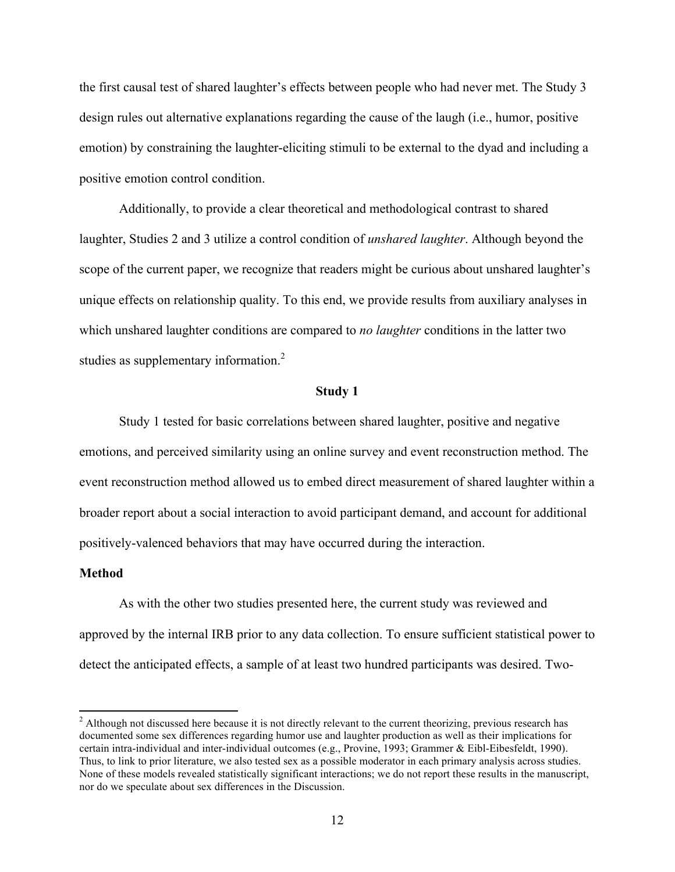the first causal test of shared laughter's effects between people who had never met. The Study 3 design rules out alternative explanations regarding the cause of the laugh (i.e., humor, positive emotion) by constraining the laughter-eliciting stimuli to be external to the dyad and including a positive emotion control condition.

Additionally, to provide a clear theoretical and methodological contrast to shared laughter, Studies 2 and 3 utilize a control condition of *unshared laughter*. Although beyond the scope of the current paper, we recognize that readers might be curious about unshared laughter's unique effects on relationship quality. To this end, we provide results from auxiliary analyses in which unshared laughter conditions are compared to *no laughter* conditions in the latter two studies as supplementary information.<sup>2</sup>

#### **Study 1**

Study 1 tested for basic correlations between shared laughter, positive and negative emotions, and perceived similarity using an online survey and event reconstruction method. The event reconstruction method allowed us to embed direct measurement of shared laughter within a broader report about a social interaction to avoid participant demand, and account for additional positively-valenced behaviors that may have occurred during the interaction.

#### **Method**

<u> 1989 - Johann Stein, markin film yn y breninn y breninn y breninn y breninn y breninn y breninn y breninn y b</u>

As with the other two studies presented here, the current study was reviewed and approved by the internal IRB prior to any data collection. To ensure sufficient statistical power to detect the anticipated effects, a sample of at least two hundred participants was desired. Two-

 $<sup>2</sup>$  Although not discussed here because it is not directly relevant to the current theorizing, previous research has</sup> documented some sex differences regarding humor use and laughter production as well as their implications for certain intra-individual and inter-individual outcomes (e.g., Provine, 1993; Grammer & Eibl-Eibesfeldt, 1990). Thus, to link to prior literature, we also tested sex as a possible moderator in each primary analysis across studies. None of these models revealed statistically significant interactions; we do not report these results in the manuscript, nor do we speculate about sex differences in the Discussion.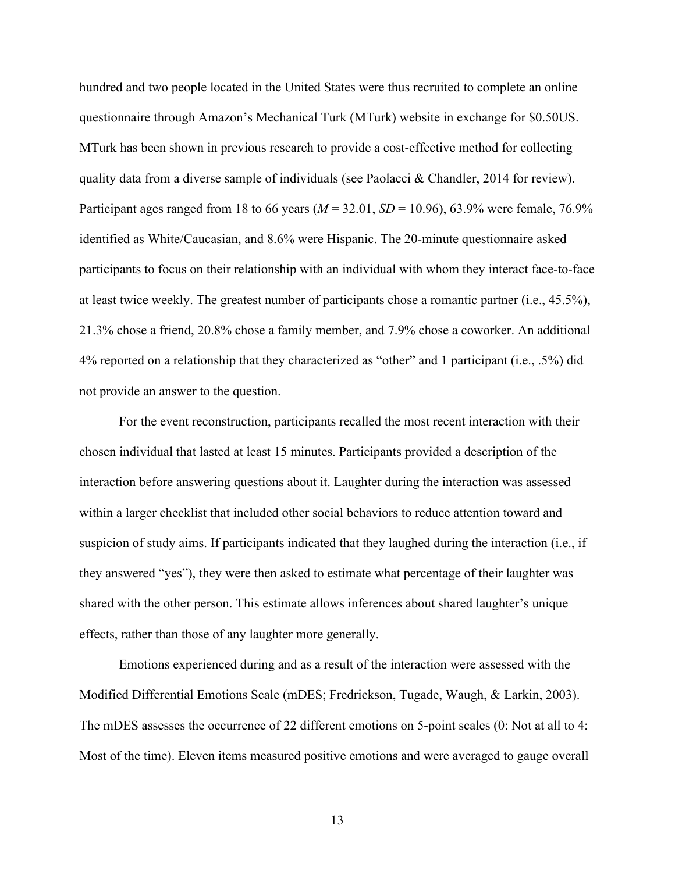hundred and two people located in the United States were thus recruited to complete an online questionnaire through Amazon's Mechanical Turk (MTurk) website in exchange for \$0.50US. MTurk has been shown in previous research to provide a cost-effective method for collecting quality data from a diverse sample of individuals (see Paolacci & Chandler, 2014 for review). Participant ages ranged from 18 to 66 years  $(M = 32.01, SD = 10.96)$ , 63.9% were female, 76.9% identified as White/Caucasian, and 8.6% were Hispanic. The 20-minute questionnaire asked participants to focus on their relationship with an individual with whom they interact face-to-face at least twice weekly. The greatest number of participants chose a romantic partner (i.e., 45.5%), 21.3% chose a friend, 20.8% chose a family member, and 7.9% chose a coworker. An additional 4% reported on a relationship that they characterized as "other" and 1 participant (i.e., .5%) did not provide an answer to the question.

For the event reconstruction, participants recalled the most recent interaction with their chosen individual that lasted at least 15 minutes. Participants provided a description of the interaction before answering questions about it. Laughter during the interaction was assessed within a larger checklist that included other social behaviors to reduce attention toward and suspicion of study aims. If participants indicated that they laughed during the interaction (i.e., if they answered "yes"), they were then asked to estimate what percentage of their laughter was shared with the other person. This estimate allows inferences about shared laughter's unique effects, rather than those of any laughter more generally.

Emotions experienced during and as a result of the interaction were assessed with the Modified Differential Emotions Scale (mDES; Fredrickson, Tugade, Waugh, & Larkin, 2003). The mDES assesses the occurrence of 22 different emotions on 5-point scales (0: Not at all to 4: Most of the time). Eleven items measured positive emotions and were averaged to gauge overall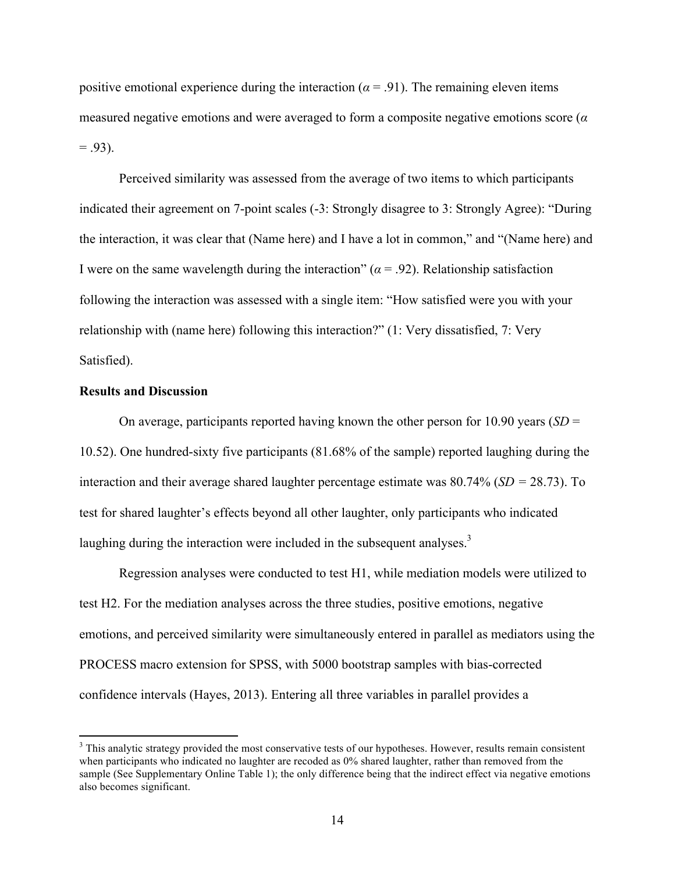positive emotional experience during the interaction ( $\alpha$  = .91). The remaining eleven items measured negative emotions and were averaged to form a composite negative emotions score (*α*  $= .93$ ).

Perceived similarity was assessed from the average of two items to which participants indicated their agreement on 7-point scales (-3: Strongly disagree to 3: Strongly Agree): "During the interaction, it was clear that (Name here) and I have a lot in common," and "(Name here) and I were on the same wavelength during the interaction"  $(a = .92)$ . Relationship satisfaction following the interaction was assessed with a single item: "How satisfied were you with your relationship with (name here) following this interaction?" (1: Very dissatisfied, 7: Very Satisfied).

#### **Results and Discussion**

<u> 1989 - Johann Stein, markin film yn y breninn y breninn y breninn y breninn y breninn y breninn y breninn y b</u>

On average, participants reported having known the other person for 10.90 years (*SD* = 10.52). One hundred-sixty five participants (81.68% of the sample) reported laughing during the interaction and their average shared laughter percentage estimate was  $80.74\%$  (*SD* = 28.73). To test for shared laughter's effects beyond all other laughter, only participants who indicated laughing during the interaction were included in the subsequent analyses.<sup>3</sup>

Regression analyses were conducted to test H1, while mediation models were utilized to test H2. For the mediation analyses across the three studies, positive emotions, negative emotions, and perceived similarity were simultaneously entered in parallel as mediators using the PROCESS macro extension for SPSS, with 5000 bootstrap samples with bias-corrected confidence intervals (Hayes, 2013). Entering all three variables in parallel provides a

<sup>&</sup>lt;sup>3</sup> This analytic strategy provided the most conservative tests of our hypotheses. However, results remain consistent when participants who indicated no laughter are recoded as 0% shared laughter, rather than removed from the sample (See Supplementary Online Table 1); the only difference being that the indirect effect via negative emotions also becomes significant.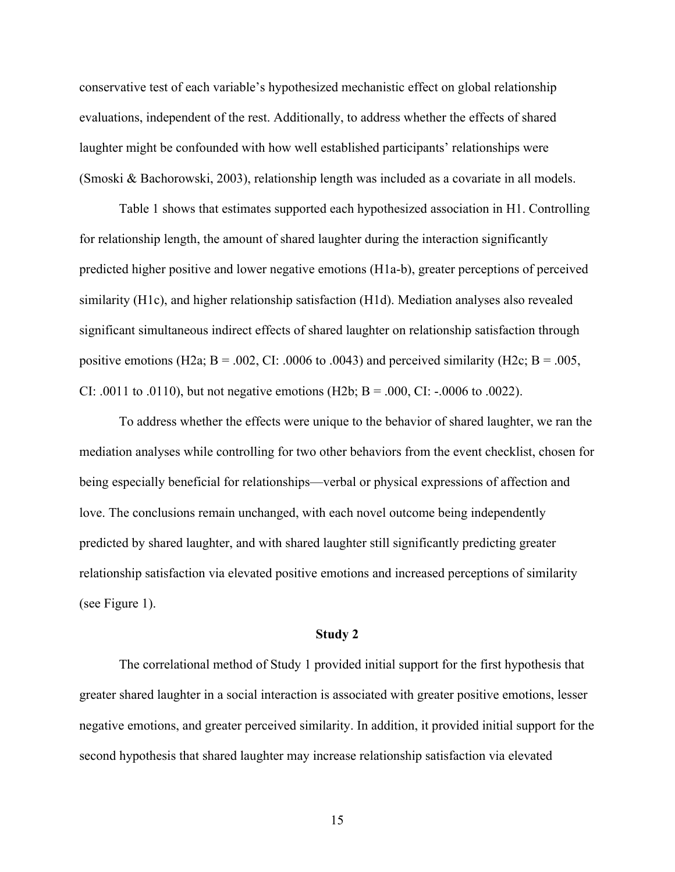conservative test of each variable's hypothesized mechanistic effect on global relationship evaluations, independent of the rest. Additionally, to address whether the effects of shared laughter might be confounded with how well established participants' relationships were (Smoski & Bachorowski, 2003), relationship length was included as a covariate in all models.

Table 1 shows that estimates supported each hypothesized association in H1. Controlling for relationship length, the amount of shared laughter during the interaction significantly predicted higher positive and lower negative emotions (H1a-b), greater perceptions of perceived similarity (H1c), and higher relationship satisfaction (H1d). Mediation analyses also revealed significant simultaneous indirect effects of shared laughter on relationship satisfaction through positive emotions (H2a;  $B = .002$ , CI: .0006 to .0043) and perceived similarity (H2c;  $B = .005$ , CI: .0011 to .0110), but not negative emotions (H2b;  $B = .000$ , CI:  $-.0006$  to .0022).

To address whether the effects were unique to the behavior of shared laughter, we ran the mediation analyses while controlling for two other behaviors from the event checklist, chosen for being especially beneficial for relationships—verbal or physical expressions of affection and love. The conclusions remain unchanged, with each novel outcome being independently predicted by shared laughter, and with shared laughter still significantly predicting greater relationship satisfaction via elevated positive emotions and increased perceptions of similarity (see Figure 1).

#### **Study 2**

The correlational method of Study 1 provided initial support for the first hypothesis that greater shared laughter in a social interaction is associated with greater positive emotions, lesser negative emotions, and greater perceived similarity. In addition, it provided initial support for the second hypothesis that shared laughter may increase relationship satisfaction via elevated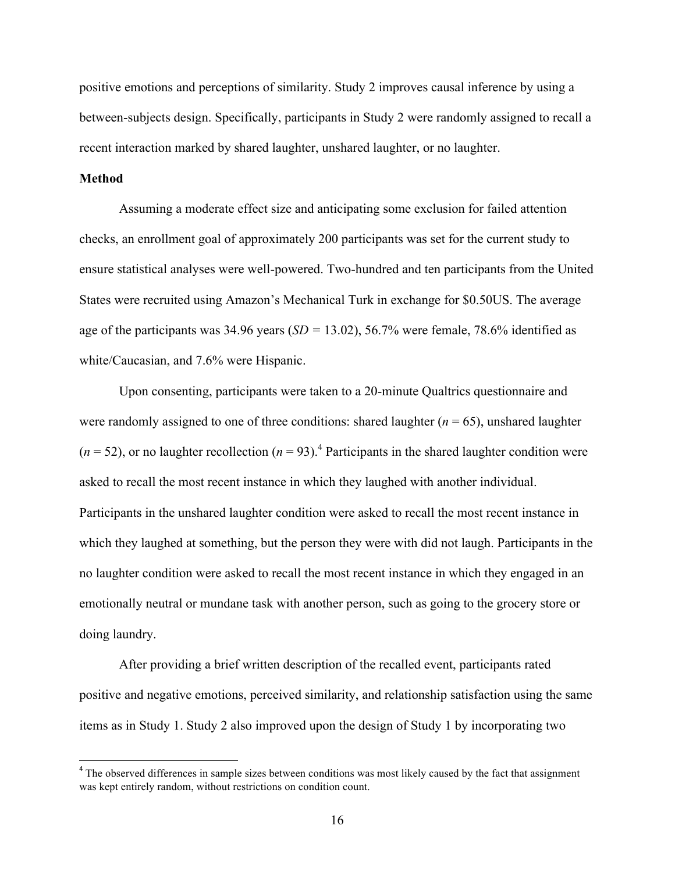positive emotions and perceptions of similarity. Study 2 improves causal inference by using a between-subjects design. Specifically, participants in Study 2 were randomly assigned to recall a recent interaction marked by shared laughter, unshared laughter, or no laughter.

## **Method**

Assuming a moderate effect size and anticipating some exclusion for failed attention checks, an enrollment goal of approximately 200 participants was set for the current study to ensure statistical analyses were well-powered. Two-hundred and ten participants from the United States were recruited using Amazon's Mechanical Turk in exchange for \$0.50US. The average age of the participants was  $34.96$  years  $(SD = 13.02)$ ,  $56.7%$  were female,  $78.6%$  identified as white/Caucasian, and 7.6% were Hispanic.

Upon consenting, participants were taken to a 20-minute Qualtrics questionnaire and were randomly assigned to one of three conditions: shared laughter  $(n = 65)$ , unshared laughter  $(n = 52)$ , or no laughter recollection  $(n = 93)$ .<sup>4</sup> Participants in the shared laughter condition were asked to recall the most recent instance in which they laughed with another individual. Participants in the unshared laughter condition were asked to recall the most recent instance in which they laughed at something, but the person they were with did not laugh. Participants in the no laughter condition were asked to recall the most recent instance in which they engaged in an emotionally neutral or mundane task with another person, such as going to the grocery store or doing laundry.

After providing a brief written description of the recalled event, participants rated positive and negative emotions, perceived similarity, and relationship satisfaction using the same items as in Study 1. Study 2 also improved upon the design of Study 1 by incorporating two

<u> 1989 - Johann Stein, markin film yn y breninn y breninn y breninn y breninn y breninn y breninn y breninn y b</u>

<sup>&</sup>lt;sup>4</sup> The observed differences in sample sizes between conditions was most likely caused by the fact that assignment was kept entirely random, without restrictions on condition count.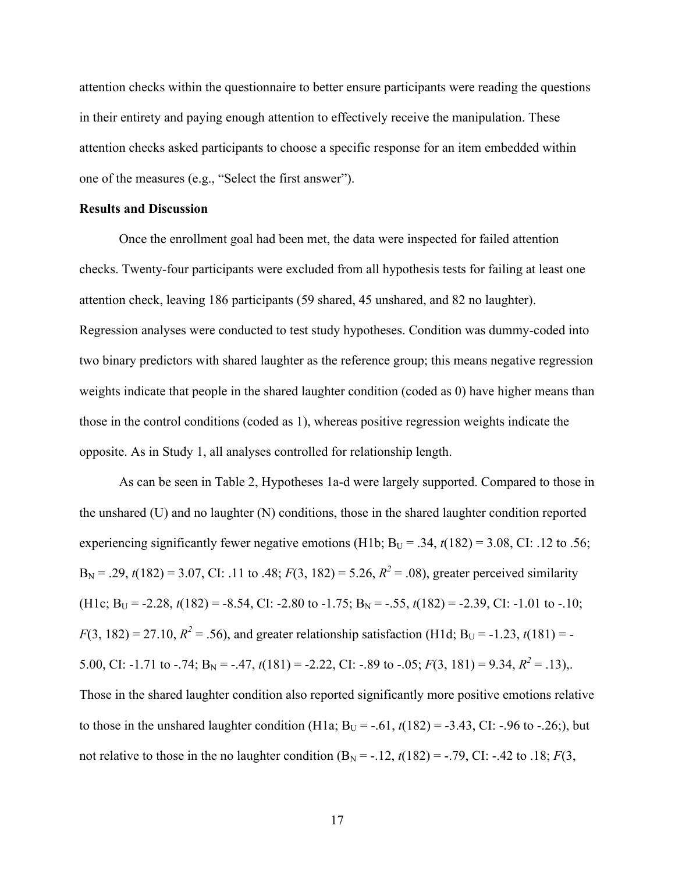attention checks within the questionnaire to better ensure participants were reading the questions in their entirety and paying enough attention to effectively receive the manipulation. These attention checks asked participants to choose a specific response for an item embedded within one of the measures (e.g., "Select the first answer").

## **Results and Discussion**

Once the enrollment goal had been met, the data were inspected for failed attention checks. Twenty-four participants were excluded from all hypothesis tests for failing at least one attention check, leaving 186 participants (59 shared, 45 unshared, and 82 no laughter). Regression analyses were conducted to test study hypotheses. Condition was dummy-coded into two binary predictors with shared laughter as the reference group; this means negative regression weights indicate that people in the shared laughter condition (coded as 0) have higher means than those in the control conditions (coded as 1), whereas positive regression weights indicate the opposite. As in Study 1, all analyses controlled for relationship length.

As can be seen in Table 2, Hypotheses 1a-d were largely supported. Compared to those in the unshared (U) and no laughter (N) conditions, those in the shared laughter condition reported experiencing significantly fewer negative emotions (H1b;  $B_U = .34$ ,  $t(182) = 3.08$ , CI: .12 to .56;  $B_N = .29$ ,  $t(182) = 3.07$ , CI: .11 to .48;  $F(3, 182) = 5.26$ ,  $R^2 = .08$ ), greater perceived similarity (H1c;  $B_U = -2.28$ ,  $t(182) = -8.54$ , CI:  $-2.80$  to  $-1.75$ ;  $B_N = -0.55$ ,  $t(182) = -2.39$ , CI:  $-1.01$  to  $-10$ ;  $F(3, 182) = 27.10, R<sup>2</sup> = .56$ , and greater relationship satisfaction (H1d; B<sub>U</sub> = -1.23, *t*(181) = -5.00, CI: -1.71 to -.74;  $B_N = -.47$ ,  $t(181) = -2.22$ , CI: -.89 to -.05;  $F(3, 181) = 9.34$ ,  $R^2 = .13$ ),. Those in the shared laughter condition also reported significantly more positive emotions relative to those in the unshared laughter condition (H1a;  $B_U = -.61$ ,  $t(182) = -3.43$ , CI: -.96 to -.26;), but not relative to those in the no laughter condition  $(B_N = -12, t(182) = -0.79, CI: -0.42$  to  $.18; F(3, 0.42)$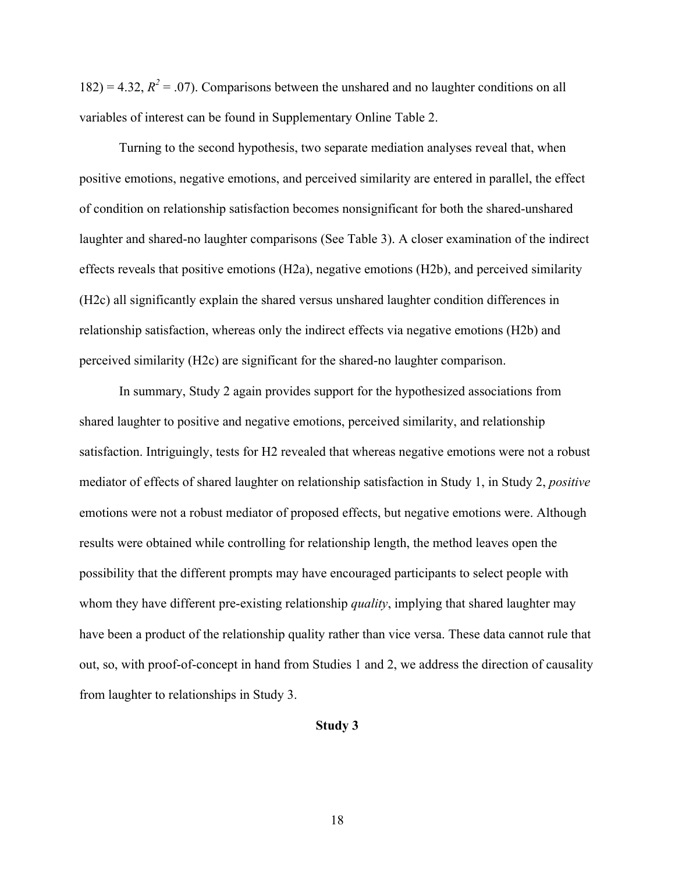182) = 4.32,  $R^2$  = .07). Comparisons between the unshared and no laughter conditions on all variables of interest can be found in Supplementary Online Table 2.

Turning to the second hypothesis, two separate mediation analyses reveal that, when positive emotions, negative emotions, and perceived similarity are entered in parallel, the effect of condition on relationship satisfaction becomes nonsignificant for both the shared-unshared laughter and shared-no laughter comparisons (See Table 3). A closer examination of the indirect effects reveals that positive emotions (H2a), negative emotions (H2b), and perceived similarity (H2c) all significantly explain the shared versus unshared laughter condition differences in relationship satisfaction, whereas only the indirect effects via negative emotions (H2b) and perceived similarity (H2c) are significant for the shared-no laughter comparison.

In summary, Study 2 again provides support for the hypothesized associations from shared laughter to positive and negative emotions, perceived similarity, and relationship satisfaction. Intriguingly, tests for H2 revealed that whereas negative emotions were not a robust mediator of effects of shared laughter on relationship satisfaction in Study 1, in Study 2, *positive* emotions were not a robust mediator of proposed effects, but negative emotions were. Although results were obtained while controlling for relationship length, the method leaves open the possibility that the different prompts may have encouraged participants to select people with whom they have different pre-existing relationship *quality*, implying that shared laughter may have been a product of the relationship quality rather than vice versa. These data cannot rule that out, so, with proof-of-concept in hand from Studies 1 and 2, we address the direction of causality from laughter to relationships in Study 3.

#### **Study 3**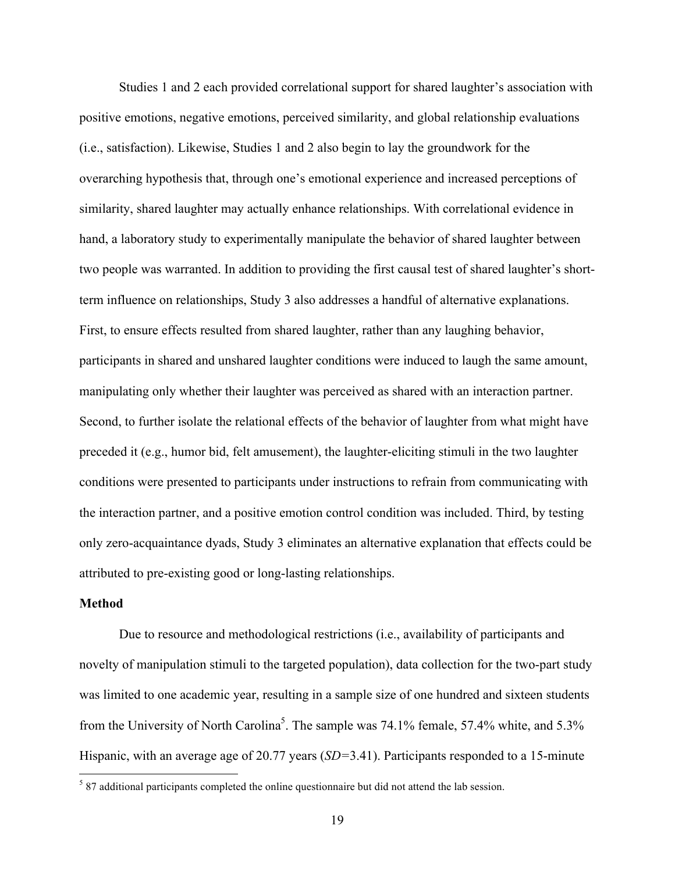Studies 1 and 2 each provided correlational support for shared laughter's association with positive emotions, negative emotions, perceived similarity, and global relationship evaluations (i.e., satisfaction). Likewise, Studies 1 and 2 also begin to lay the groundwork for the overarching hypothesis that, through one's emotional experience and increased perceptions of similarity, shared laughter may actually enhance relationships. With correlational evidence in hand, a laboratory study to experimentally manipulate the behavior of shared laughter between two people was warranted. In addition to providing the first causal test of shared laughter's shortterm influence on relationships, Study 3 also addresses a handful of alternative explanations. First, to ensure effects resulted from shared laughter, rather than any laughing behavior, participants in shared and unshared laughter conditions were induced to laugh the same amount, manipulating only whether their laughter was perceived as shared with an interaction partner. Second, to further isolate the relational effects of the behavior of laughter from what might have preceded it (e.g., humor bid, felt amusement), the laughter-eliciting stimuli in the two laughter conditions were presented to participants under instructions to refrain from communicating with the interaction partner, and a positive emotion control condition was included. Third, by testing only zero-acquaintance dyads, Study 3 eliminates an alternative explanation that effects could be attributed to pre-existing good or long-lasting relationships.

#### **Method**

<u> 1989 - Johann Stein, markin film yn y breninn y breninn y breninn y breninn y breninn y breninn y breninn y b</u>

Due to resource and methodological restrictions (i.e., availability of participants and novelty of manipulation stimuli to the targeted population), data collection for the two-part study was limited to one academic year, resulting in a sample size of one hundred and sixteen students from the University of North Carolina<sup>5</sup>. The sample was 74.1% female, 57.4% white, and 5.3% Hispanic, with an average age of 20.77 years (*SD=*3.41). Participants responded to a 15-minute

 $587$  additional participants completed the online questionnaire but did not attend the lab session.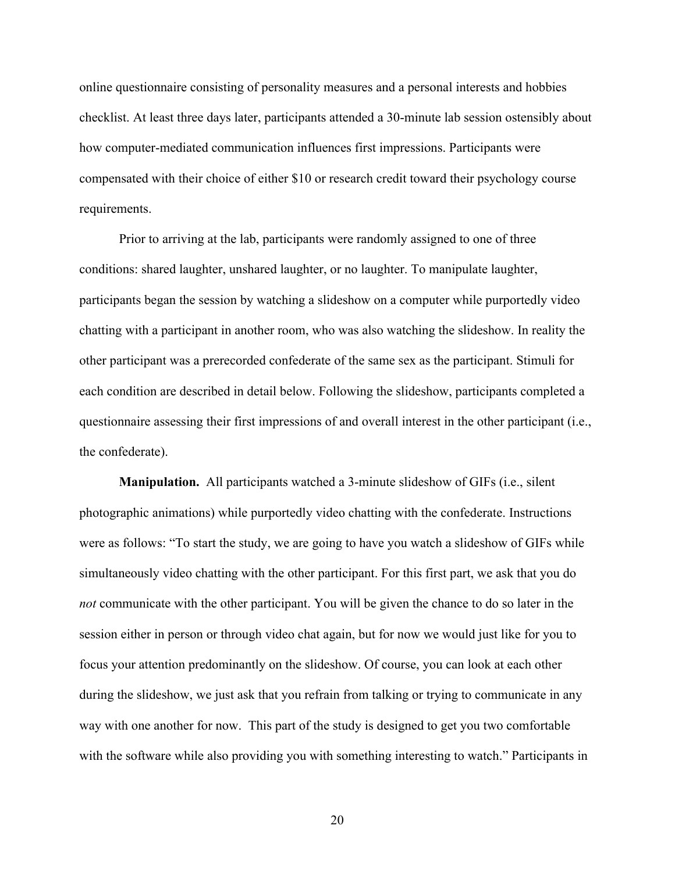online questionnaire consisting of personality measures and a personal interests and hobbies checklist. At least three days later, participants attended a 30-minute lab session ostensibly about how computer-mediated communication influences first impressions. Participants were compensated with their choice of either \$10 or research credit toward their psychology course requirements.

Prior to arriving at the lab, participants were randomly assigned to one of three conditions: shared laughter, unshared laughter, or no laughter. To manipulate laughter, participants began the session by watching a slideshow on a computer while purportedly video chatting with a participant in another room, who was also watching the slideshow. In reality the other participant was a prerecorded confederate of the same sex as the participant. Stimuli for each condition are described in detail below. Following the slideshow, participants completed a questionnaire assessing their first impressions of and overall interest in the other participant (i.e., the confederate).

**Manipulation.** All participants watched a 3-minute slideshow of GIFs (i.e., silent photographic animations) while purportedly video chatting with the confederate. Instructions were as follows: "To start the study, we are going to have you watch a slideshow of GIFs while simultaneously video chatting with the other participant. For this first part, we ask that you do *not* communicate with the other participant. You will be given the chance to do so later in the session either in person or through video chat again, but for now we would just like for you to focus your attention predominantly on the slideshow. Of course, you can look at each other during the slideshow, we just ask that you refrain from talking or trying to communicate in any way with one another for now. This part of the study is designed to get you two comfortable with the software while also providing you with something interesting to watch." Participants in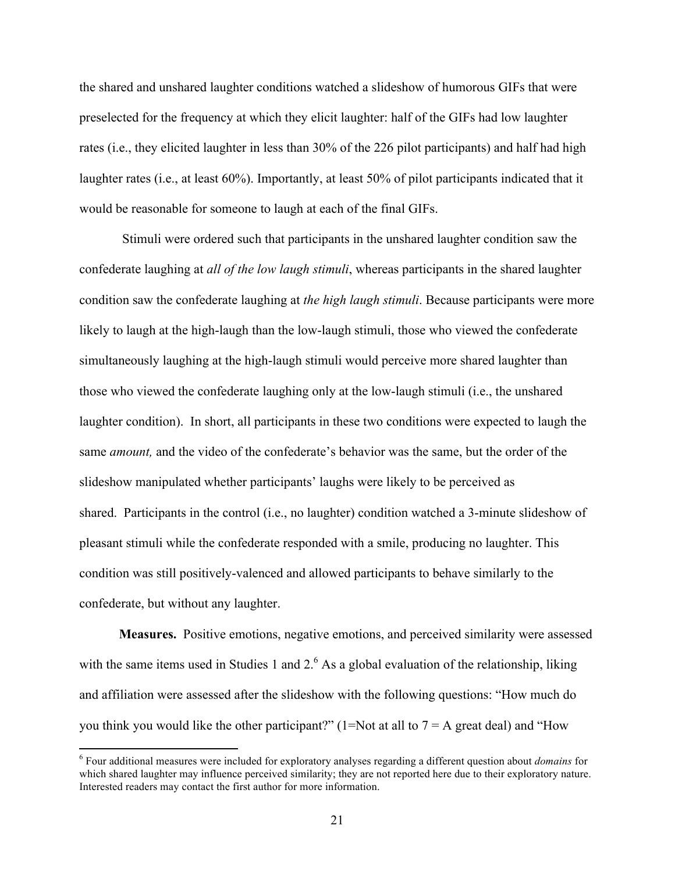the shared and unshared laughter conditions watched a slideshow of humorous GIFs that were preselected for the frequency at which they elicit laughter: half of the GIFs had low laughter rates (i.e., they elicited laughter in less than 30% of the 226 pilot participants) and half had high laughter rates (i.e., at least 60%). Importantly, at least 50% of pilot participants indicated that it would be reasonable for someone to laugh at each of the final GIFs.

Stimuli were ordered such that participants in the unshared laughter condition saw the confederate laughing at *all of the low laugh stimuli*, whereas participants in the shared laughter condition saw the confederate laughing at *the high laugh stimuli*. Because participants were more likely to laugh at the high-laugh than the low-laugh stimuli, those who viewed the confederate simultaneously laughing at the high-laugh stimuli would perceive more shared laughter than those who viewed the confederate laughing only at the low-laugh stimuli (i.e., the unshared laughter condition). In short, all participants in these two conditions were expected to laugh the same *amount,* and the video of the confederate's behavior was the same, but the order of the slideshow manipulated whether participants' laughs were likely to be perceived as shared. Participants in the control (i.e., no laughter) condition watched a 3-minute slideshow of pleasant stimuli while the confederate responded with a smile, producing no laughter. This condition was still positively-valenced and allowed participants to behave similarly to the confederate, but without any laughter.

**Measures.** Positive emotions, negative emotions, and perceived similarity were assessed with the same items used in Studies 1 and  $2<sup>6</sup>$  As a global evaluation of the relationship, liking and affiliation were assessed after the slideshow with the following questions: "How much do you think you would like the other participant?" (1=Not at all to  $7 = A$  great deal) and "How

<sup>6</sup> Four additional measures were included for exploratory analyses regarding a different question about *domains* for which shared laughter may influence perceived similarity; they are not reported here due to their exploratory nature. Interested readers may contact the first author for more information.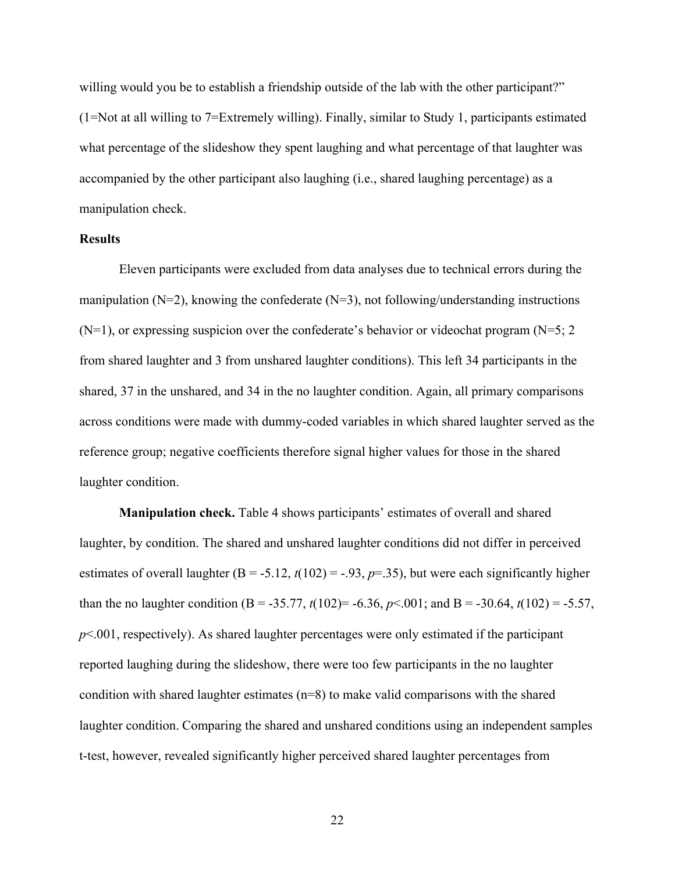willing would you be to establish a friendship outside of the lab with the other participant?" (1=Not at all willing to 7=Extremely willing). Finally, similar to Study 1, participants estimated what percentage of the slideshow they spent laughing and what percentage of that laughter was accompanied by the other participant also laughing (i.e., shared laughing percentage) as a manipulation check.

#### **Results**

Eleven participants were excluded from data analyses due to technical errors during the manipulation ( $N=2$ ), knowing the confederate ( $N=3$ ), not following/understanding instructions  $(N=1)$ , or expressing suspicion over the confederate's behavior or videochat program  $(N=5; 2)$ from shared laughter and 3 from unshared laughter conditions). This left 34 participants in the shared, 37 in the unshared, and 34 in the no laughter condition. Again, all primary comparisons across conditions were made with dummy-coded variables in which shared laughter served as the reference group; negative coefficients therefore signal higher values for those in the shared laughter condition.

**Manipulation check.** Table 4 shows participants' estimates of overall and shared laughter, by condition. The shared and unshared laughter conditions did not differ in perceived estimates of overall laughter  $(B = -5.12, t(102) = -0.93, p = 0.35)$ , but were each significantly higher than the no laughter condition (B = -35.77,  $t(102)$ = -6.36,  $p \le 0.001$ ; and B = -30.64,  $t(102)$  = -5.57, *p*<.001, respectively). As shared laughter percentages were only estimated if the participant reported laughing during the slideshow, there were too few participants in the no laughter condition with shared laughter estimates (n=8) to make valid comparisons with the shared laughter condition. Comparing the shared and unshared conditions using an independent samples t-test, however, revealed significantly higher perceived shared laughter percentages from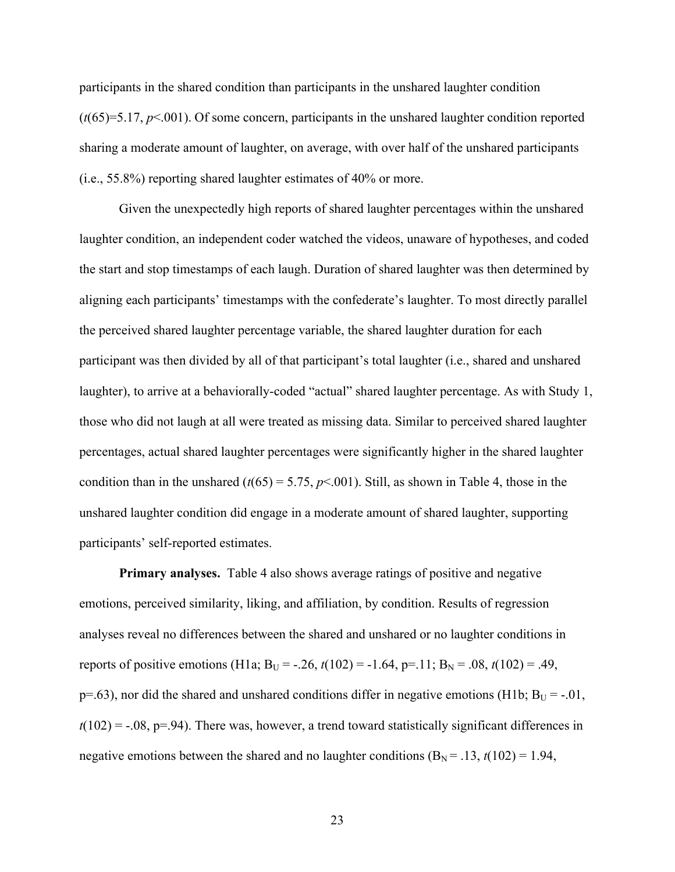participants in the shared condition than participants in the unshared laughter condition (*t*(65)=5.17, *p*<.001). Of some concern, participants in the unshared laughter condition reported sharing a moderate amount of laughter, on average, with over half of the unshared participants (i.e., 55.8%) reporting shared laughter estimates of 40% or more.

Given the unexpectedly high reports of shared laughter percentages within the unshared laughter condition, an independent coder watched the videos, unaware of hypotheses, and coded the start and stop timestamps of each laugh. Duration of shared laughter was then determined by aligning each participants' timestamps with the confederate's laughter. To most directly parallel the perceived shared laughter percentage variable, the shared laughter duration for each participant was then divided by all of that participant's total laughter (i.e., shared and unshared laughter), to arrive at a behaviorally-coded "actual" shared laughter percentage. As with Study 1, those who did not laugh at all were treated as missing data. Similar to perceived shared laughter percentages, actual shared laughter percentages were significantly higher in the shared laughter condition than in the unshared  $(t(65) = 5.75, p<.001)$ . Still, as shown in Table 4, those in the unshared laughter condition did engage in a moderate amount of shared laughter, supporting participants' self-reported estimates.

**Primary analyses.** Table 4 also shows average ratings of positive and negative emotions, perceived similarity, liking, and affiliation, by condition. Results of regression analyses reveal no differences between the shared and unshared or no laughter conditions in reports of positive emotions (H1a; B<sub>U</sub> = -.26,  $t(102)$  = -1.64, p=.11; B<sub>N</sub> = .08,  $t(102)$  = .49,  $p=0.63$ ), nor did the shared and unshared conditions differ in negative emotions (H1b;  $B_U = -0.01$ ,  $t(102) = -.08$ ,  $p=0.94$ ). There was, however, a trend toward statistically significant differences in negative emotions between the shared and no laughter conditions  $(B<sub>N</sub> = .13, t(102) = 1.94,$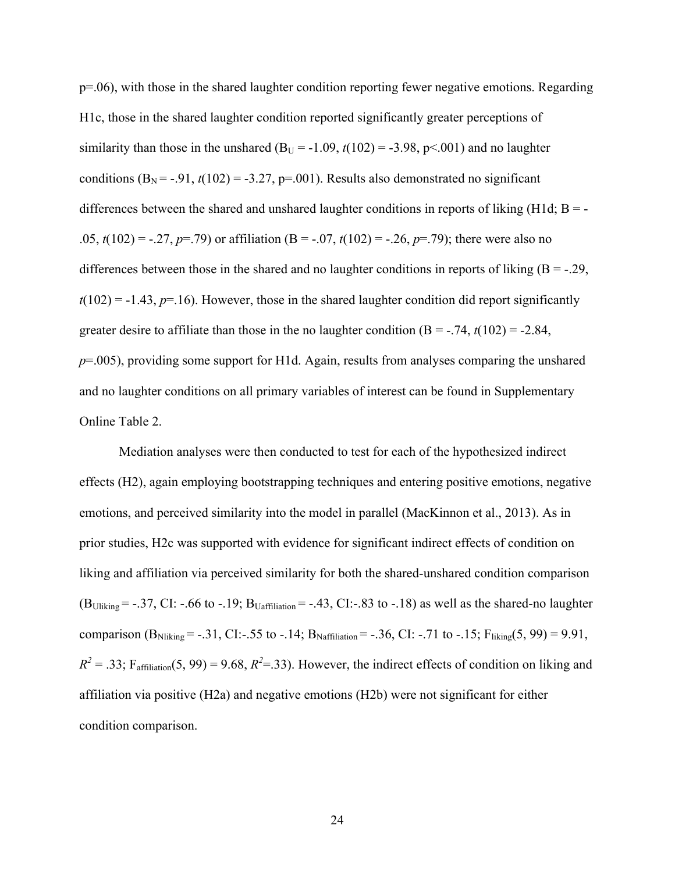p=.06), with those in the shared laughter condition reporting fewer negative emotions. Regarding H1c, those in the shared laughter condition reported significantly greater perceptions of similarity than those in the unshared  $(B_U = -1.09, t(102) = -3.98, p<0.01)$  and no laughter conditions  $(B_N = -.91, t(102) = .3.27, p=.001)$ . Results also demonstrated no significant differences between the shared and unshared laughter conditions in reports of liking (H1d;  $B = -$ .05,  $t(102) = -.27$ ,  $p=.79$ ) or affiliation (B = -.07,  $t(102) = -.26$ ,  $p=.79$ ); there were also no differences between those in the shared and no laughter conditions in reports of liking  $(B = -0.29)$ ,  $t(102) = -1.43$ ,  $p=16$ ). However, those in the shared laughter condition did report significantly greater desire to affiliate than those in the no laughter condition  $(B = -0.74, t(102) = -2.84,$ *p*=.005), providing some support for H1d. Again, results from analyses comparing the unshared and no laughter conditions on all primary variables of interest can be found in Supplementary Online Table 2.

Mediation analyses were then conducted to test for each of the hypothesized indirect effects (H2), again employing bootstrapping techniques and entering positive emotions, negative emotions, and perceived similarity into the model in parallel (MacKinnon et al., 2013). As in prior studies, H2c was supported with evidence for significant indirect effects of condition on liking and affiliation via perceived similarity for both the shared-unshared condition comparison  $(B_{\text{Uliking}} = -.37, CI: -.66$  to  $-.19; B_{\text{Uaffilation}} = -.43, CI: -.83$  to  $-.18$ ) as well as the shared-no laughter comparison  $(B_{\text{Niking}} = -.31, CI: -.55$  to  $-.14; B_{\text{Naffiliation}} = -.36, CI: -.71$  to  $-.15; F_{\text{liking}}(5, 99) = 9.91$ ,  $R^2 = .33$ ; F<sub>affiliation</sub>(5, 99) = 9.68,  $R^2 = .33$ ). However, the indirect effects of condition on liking and affiliation via positive (H2a) and negative emotions (H2b) were not significant for either condition comparison.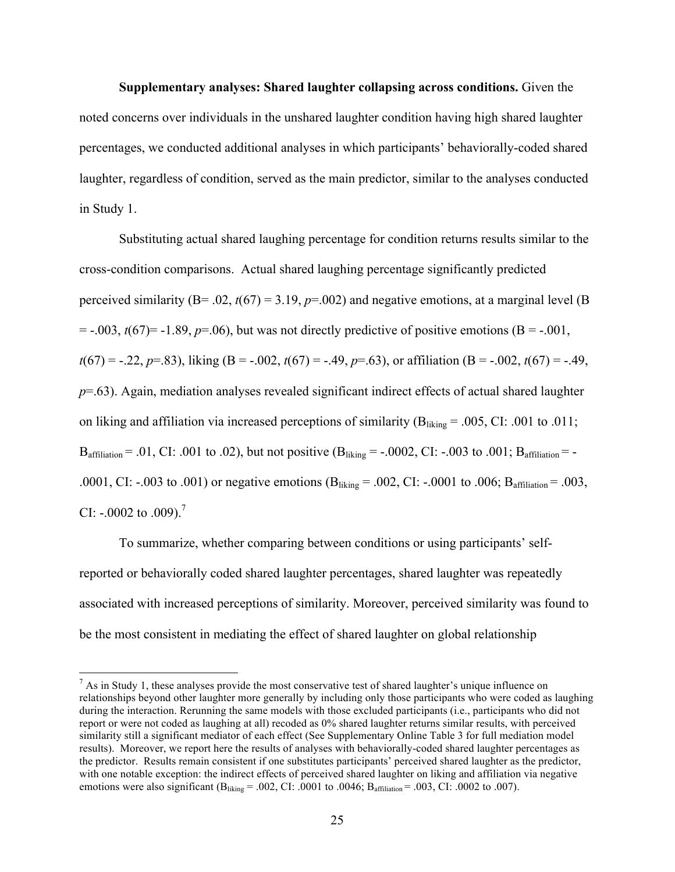**Supplementary analyses: Shared laughter collapsing across conditions.** Given the noted concerns over individuals in the unshared laughter condition having high shared laughter percentages, we conducted additional analyses in which participants' behaviorally-coded shared laughter, regardless of condition, served as the main predictor, similar to the analyses conducted in Study 1.

Substituting actual shared laughing percentage for condition returns results similar to the cross-condition comparisons. Actual shared laughing percentage significantly predicted perceived similarity ( $B = .02$ ,  $t(67) = 3.19$ ,  $p = .002$ ) and negative emotions, at a marginal level ( $B$ )  $=$  -.003,  $t(67)$ = -1.89,  $p=0.06$ ), but was not directly predictive of positive emotions (B = -.001,  $t(67) = -.22, p=.83$ , liking (B = -.002,  $t(67) = -.49, p=.63$ ), or affiliation (B = -.002,  $t(67) = -.49,$ *p*=.63). Again, mediation analyses revealed significant indirect effects of actual shared laughter on liking and affiliation via increased perceptions of similarity ( $B<sub>liking</sub> = .005$ , CI: .001 to .011; Baffiliation = .01, CI: .001 to .02), but not positive  $(B_{liking} = -.0002, CI: -.003$  to .001;  $B_{affiliation} = -$ .0001, CI: -.003 to .001) or negative emotions  $(B_{\text{liking}} = .002, C1$ : -.0001 to .006;  $B_{\text{affiliation}} = .003$ , CI: -.0002 to .009).<sup>7</sup>

To summarize, whether comparing between conditions or using participants' selfreported or behaviorally coded shared laughter percentages, shared laughter was repeatedly associated with increased perceptions of similarity. Moreover, perceived similarity was found to be the most consistent in mediating the effect of shared laughter on global relationship

<u> 1989 - Johann Stein, markin film yn y breninn y breninn y breninn y breninn y breninn y breninn y breninn y b</u>

 $<sup>7</sup>$  As in Study 1, these analyses provide the most conservative test of shared laughter's unique influence on</sup> relationships beyond other laughter more generally by including only those participants who were coded as laughing during the interaction. Rerunning the same models with those excluded participants (i.e., participants who did not report or were not coded as laughing at all) recoded as 0% shared laughter returns similar results, with perceived similarity still a significant mediator of each effect (See Supplementary Online Table 3 for full mediation model results). Moreover, we report here the results of analyses with behaviorally-coded shared laughter percentages as the predictor. Results remain consistent if one substitutes participants' perceived shared laughter as the predictor, with one notable exception: the indirect effects of perceived shared laughter on liking and affiliation via negative emotions were also significant ( $B_{liking} = .002$ , CI: .0001 to .0046;  $B_{affilation} = .003$ , CI: .0002 to .007).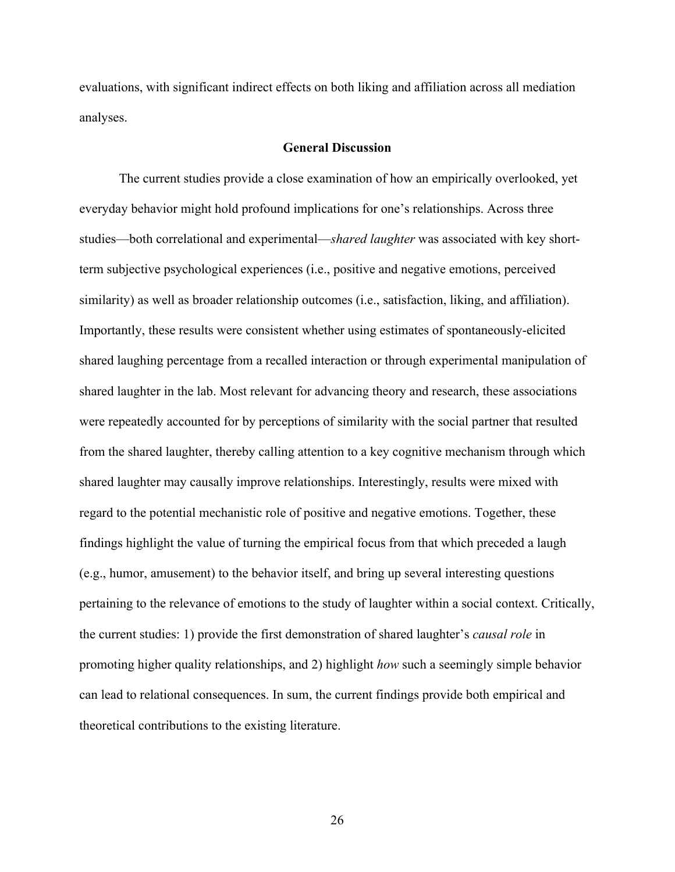evaluations, with significant indirect effects on both liking and affiliation across all mediation analyses.

### **General Discussion**

The current studies provide a close examination of how an empirically overlooked, yet everyday behavior might hold profound implications for one's relationships. Across three studies—both correlational and experimental—*shared laughter* was associated with key shortterm subjective psychological experiences (i.e., positive and negative emotions, perceived similarity) as well as broader relationship outcomes (i.e., satisfaction, liking, and affiliation). Importantly, these results were consistent whether using estimates of spontaneously-elicited shared laughing percentage from a recalled interaction or through experimental manipulation of shared laughter in the lab. Most relevant for advancing theory and research, these associations were repeatedly accounted for by perceptions of similarity with the social partner that resulted from the shared laughter, thereby calling attention to a key cognitive mechanism through which shared laughter may causally improve relationships. Interestingly, results were mixed with regard to the potential mechanistic role of positive and negative emotions. Together, these findings highlight the value of turning the empirical focus from that which preceded a laugh (e.g., humor, amusement) to the behavior itself, and bring up several interesting questions pertaining to the relevance of emotions to the study of laughter within a social context. Critically, the current studies: 1) provide the first demonstration of shared laughter's *causal role* in promoting higher quality relationships, and 2) highlight *how* such a seemingly simple behavior can lead to relational consequences. In sum, the current findings provide both empirical and theoretical contributions to the existing literature.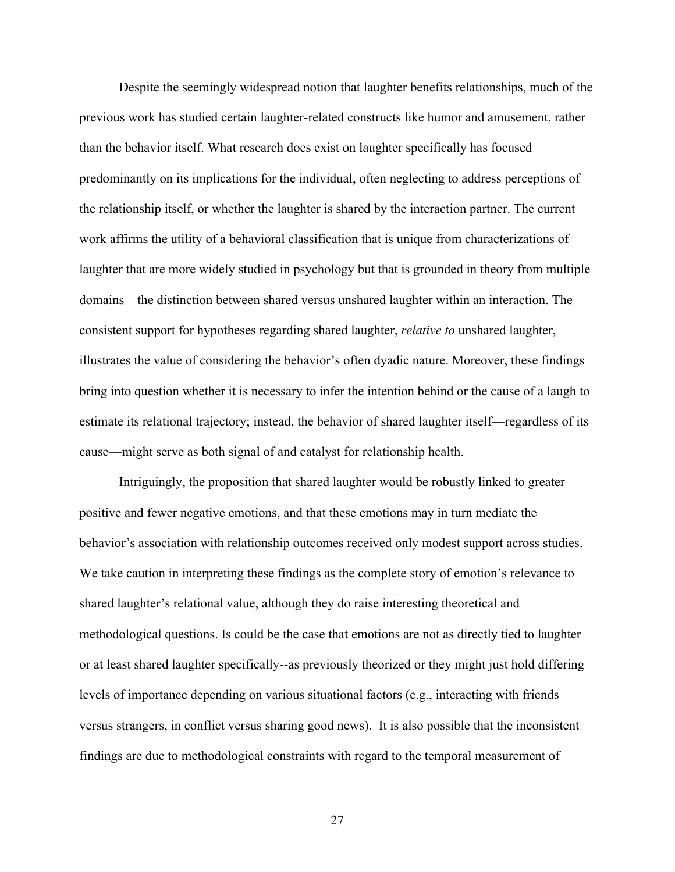Despite the seemingly widespread notion that laughter benefits relationships, much of the previous work has studied certain laughter-related constructs like humor and amusement, rather than the behavior itself. What research does exist on laughter specifically has focused predominantly on its implications for the individual, often neglecting to address perceptions of the relationship itself, or whether the laughter is shared by the interaction partner. The current work affirms the utility of a behavioral classification that is unique from characterizations of laughter that are more widely studied in psychology but that is grounded in theory from multiple domains—the distinction between shared versus unshared laughter within an interaction. The consistent support for hypotheses regarding shared laughter, *relative to* unshared laughter, illustrates the value of considering the behavior's often dyadic nature. Moreover, these findings bring into question whether it is necessary to infer the intention behind or the cause of a laugh to estimate its relational trajectory; instead, the behavior of shared laughter itself—regardless of its cause—might serve as both signal of and catalyst for relationship health.

Intriguingly, the proposition that shared laughter would be robustly linked to greater positive and fewer negative emotions, and that these emotions may in turn mediate the behavior's association with relationship outcomes received only modest support across studies. We take caution in interpreting these findings as the complete story of emotion's relevance to shared laughter's relational value, although they do raise interesting theoretical and methodological questions. Is could be the case that emotions are not as directly tied to laughter or at least shared laughter specifically--as previously theorized or they might just hold differing levels of importance depending on various situational factors (e.g., interacting with friends versus strangers, in conflict versus sharing good news). It is also possible that the inconsistent findings are due to methodological constraints with regard to the temporal measurement of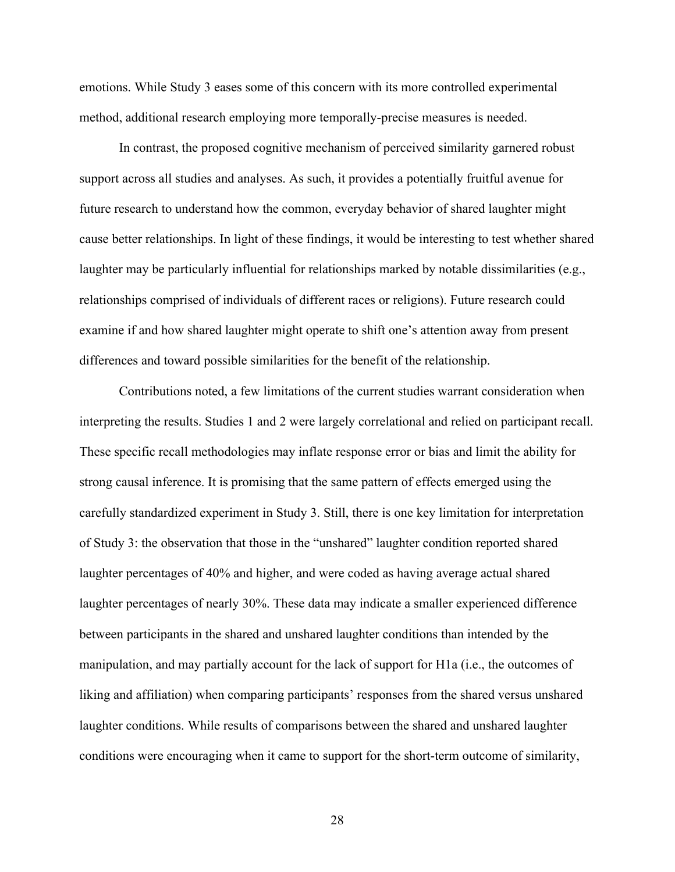emotions. While Study 3 eases some of this concern with its more controlled experimental method, additional research employing more temporally-precise measures is needed.

In contrast, the proposed cognitive mechanism of perceived similarity garnered robust support across all studies and analyses. As such, it provides a potentially fruitful avenue for future research to understand how the common, everyday behavior of shared laughter might cause better relationships. In light of these findings, it would be interesting to test whether shared laughter may be particularly influential for relationships marked by notable dissimilarities (e.g., relationships comprised of individuals of different races or religions). Future research could examine if and how shared laughter might operate to shift one's attention away from present differences and toward possible similarities for the benefit of the relationship.

Contributions noted, a few limitations of the current studies warrant consideration when interpreting the results. Studies 1 and 2 were largely correlational and relied on participant recall. These specific recall methodologies may inflate response error or bias and limit the ability for strong causal inference. It is promising that the same pattern of effects emerged using the carefully standardized experiment in Study 3. Still, there is one key limitation for interpretation of Study 3: the observation that those in the "unshared" laughter condition reported shared laughter percentages of 40% and higher, and were coded as having average actual shared laughter percentages of nearly 30%. These data may indicate a smaller experienced difference between participants in the shared and unshared laughter conditions than intended by the manipulation, and may partially account for the lack of support for H1a (i.e., the outcomes of liking and affiliation) when comparing participants' responses from the shared versus unshared laughter conditions. While results of comparisons between the shared and unshared laughter conditions were encouraging when it came to support for the short-term outcome of similarity,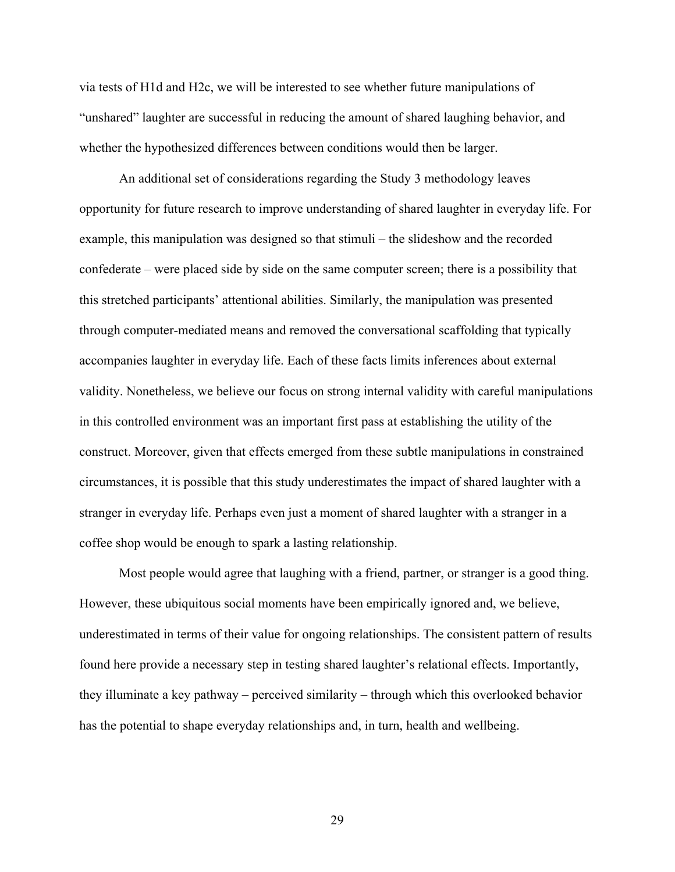via tests of H1d and H2c, we will be interested to see whether future manipulations of "unshared" laughter are successful in reducing the amount of shared laughing behavior, and whether the hypothesized differences between conditions would then be larger.

An additional set of considerations regarding the Study 3 methodology leaves opportunity for future research to improve understanding of shared laughter in everyday life. For example, this manipulation was designed so that stimuli – the slideshow and the recorded confederate – were placed side by side on the same computer screen; there is a possibility that this stretched participants' attentional abilities. Similarly, the manipulation was presented through computer-mediated means and removed the conversational scaffolding that typically accompanies laughter in everyday life. Each of these facts limits inferences about external validity. Nonetheless, we believe our focus on strong internal validity with careful manipulations in this controlled environment was an important first pass at establishing the utility of the construct. Moreover, given that effects emerged from these subtle manipulations in constrained circumstances, it is possible that this study underestimates the impact of shared laughter with a stranger in everyday life. Perhaps even just a moment of shared laughter with a stranger in a coffee shop would be enough to spark a lasting relationship.

Most people would agree that laughing with a friend, partner, or stranger is a good thing. However, these ubiquitous social moments have been empirically ignored and, we believe, underestimated in terms of their value for ongoing relationships. The consistent pattern of results found here provide a necessary step in testing shared laughter's relational effects. Importantly, they illuminate a key pathway – perceived similarity – through which this overlooked behavior has the potential to shape everyday relationships and, in turn, health and wellbeing.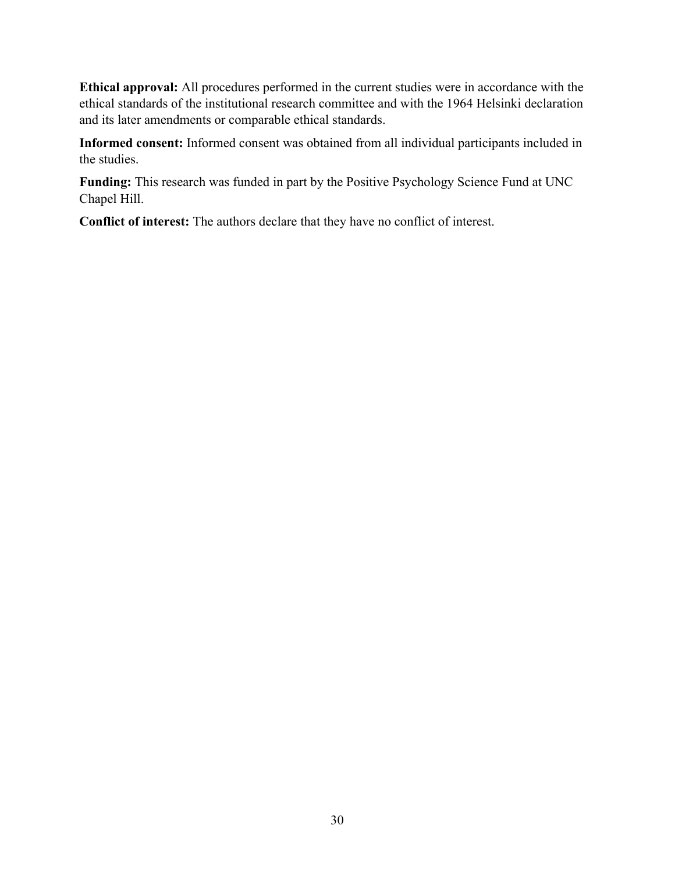**Ethical approval:** All procedures performed in the current studies were in accordance with the ethical standards of the institutional research committee and with the 1964 Helsinki declaration and its later amendments or comparable ethical standards.

**Informed consent:** Informed consent was obtained from all individual participants included in the studies.

**Funding:** This research was funded in part by the Positive Psychology Science Fund at UNC Chapel Hill.

**Conflict of interest:** The authors declare that they have no conflict of interest.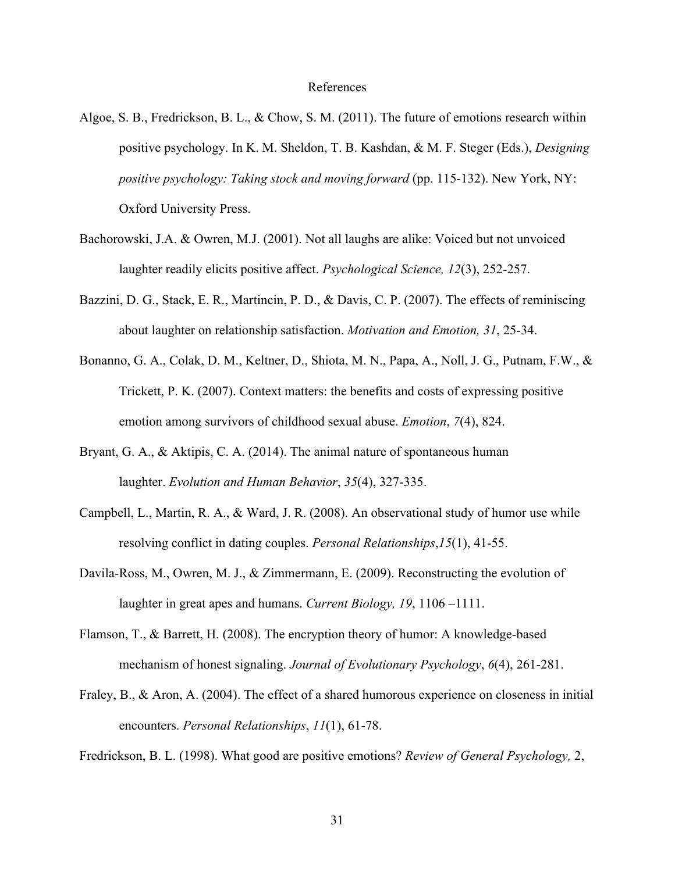#### References

- Algoe, S. B., Fredrickson, B. L., & Chow, S. M. (2011). The future of emotions research within positive psychology. In K. M. Sheldon, T. B. Kashdan, & M. F. Steger (Eds.), *Designing positive psychology: Taking stock and moving forward* (pp. 115-132). New York, NY: Oxford University Press.
- Bachorowski, J.A. & Owren, M.J. (2001). Not all laughs are alike: Voiced but not unvoiced laughter readily elicits positive affect. *Psychological Science, 12*(3), 252-257.
- Bazzini, D. G., Stack, E. R., Martincin, P. D., & Davis, C. P. (2007). The effects of reminiscing about laughter on relationship satisfaction. *Motivation and Emotion, 31*, 25-34.
- Bonanno, G. A., Colak, D. M., Keltner, D., Shiota, M. N., Papa, A., Noll, J. G., Putnam, F.W., & Trickett, P. K. (2007). Context matters: the benefits and costs of expressing positive emotion among survivors of childhood sexual abuse. *Emotion*, *7*(4), 824.
- Bryant, G. A., & Aktipis, C. A. (2014). The animal nature of spontaneous human laughter. *Evolution and Human Behavior*, *35*(4), 327-335.
- Campbell, L., Martin, R. A., & Ward, J. R. (2008). An observational study of humor use while resolving conflict in dating couples. *Personal Relationships*,*15*(1), 41-55.
- Davila-Ross, M., Owren, M. J., & Zimmermann, E. (2009). Reconstructing the evolution of laughter in great apes and humans. *Current Biology, 19*, 1106 –1111.
- Flamson, T., & Barrett, H. (2008). The encryption theory of humor: A knowledge-based mechanism of honest signaling. *Journal of Evolutionary Psychology*, *6*(4), 261-281.
- Fraley, B., & Aron, A. (2004). The effect of a shared humorous experience on closeness in initial encounters. *Personal Relationships*, *11*(1), 61-78.

Fredrickson, B. L. (1998). What good are positive emotions? *Review of General Psychology,* 2,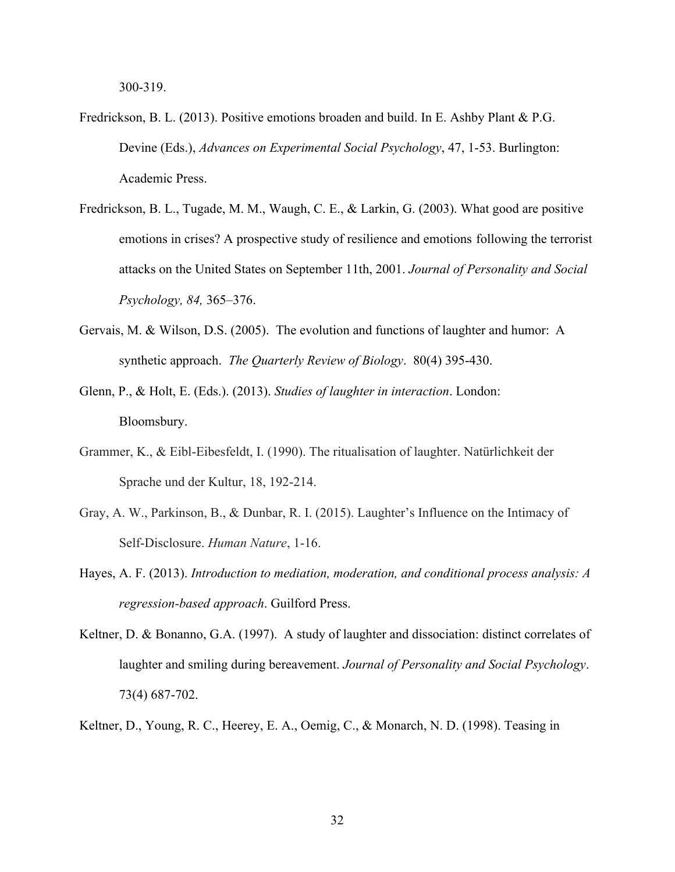300-319.

- Fredrickson, B. L. (2013). Positive emotions broaden and build. In E. Ashby Plant & P.G. Devine (Eds.), *Advances on Experimental Social Psychology*, 47, 1-53. Burlington: Academic Press.
- Fredrickson, B. L., Tugade, M. M., Waugh, C. E., & Larkin, G. (2003). What good are positive emotions in crises? A prospective study of resilience and emotions following the terrorist attacks on the United States on September 11th, 2001. *Journal of Personality and Social Psychology, 84,* 365–376.
- Gervais, M. & Wilson, D.S. (2005). The evolution and functions of laughter and humor: A synthetic approach. *The Quarterly Review of Biology*. 80(4) 395-430.
- Glenn, P., & Holt, E. (Eds.). (2013). *Studies of laughter in interaction*. London: Bloomsbury.
- Grammer, K., & Eibl-Eibesfeldt, I. (1990). The ritualisation of laughter. Natürlichkeit der Sprache und der Kultur, 18, 192-214.
- Gray, A. W., Parkinson, B., & Dunbar, R. I. (2015). Laughter's Influence on the Intimacy of Self-Disclosure. *Human Nature*, 1-16.
- Hayes, A. F. (2013). *Introduction to mediation, moderation, and conditional process analysis: A regression-based approach*. Guilford Press.
- Keltner, D. & Bonanno, G.A. (1997). A study of laughter and dissociation: distinct correlates of laughter and smiling during bereavement. *Journal of Personality and Social Psychology*. 73(4) 687-702.
- Keltner, D., Young, R. C., Heerey, E. A., Oemig, C., & Monarch, N. D. (1998). Teasing in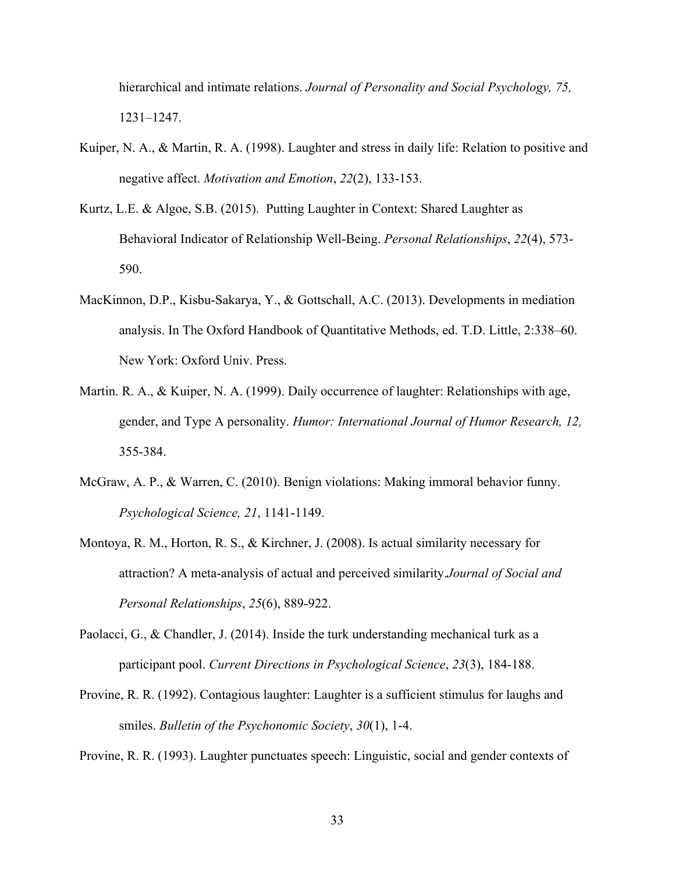hierarchical and intimate relations. *Journal of Personality and Social Psychology, 75,*  1231–1247.

- Kuiper, N. A., & Martin, R. A. (1998). Laughter and stress in daily life: Relation to positive and negative affect. *Motivation and Emotion*, *22*(2), 133-153.
- Kurtz, L.E. & Algoe, S.B. (2015). Putting Laughter in Context: Shared Laughter as Behavioral Indicator of Relationship Well-Being. *Personal Relationships*, *22*(4), 573- 590.
- MacKinnon, D.P., Kisbu-Sakarya, Y., & Gottschall, A.C. (2013). Developments in mediation analysis. In The Oxford Handbook of Quantitative Methods, ed. T.D. Little, 2:338–60. New York: Oxford Univ. Press.
- Martin. R. A., & Kuiper, N. A. (1999). Daily occurrence of laughter: Relationships with age, gender, and Type A personality. *Humor: International Journal of Humor Research, 12,*  355-384.
- McGraw, A. P., & Warren, C. (2010). Benign violations: Making immoral behavior funny. *Psychological Science, 21*, 1141-1149.
- Montoya, R. M., Horton, R. S., & Kirchner, J. (2008). Is actual similarity necessary for attraction? A meta-analysis of actual and perceived similarity.*Journal of Social and Personal Relationships*, *25*(6), 889-922.
- Paolacci, G., & Chandler, J. (2014). Inside the turk understanding mechanical turk as a participant pool. *Current Directions in Psychological Science*, *23*(3), 184-188.
- Provine, R. R. (1992). Contagious laughter: Laughter is a sufficient stimulus for laughs and smiles. *Bulletin of the Psychonomic Society*, *30*(1), 1-4.

Provine, R. R. (1993). Laughter punctuates speech: Linguistic, social and gender contexts of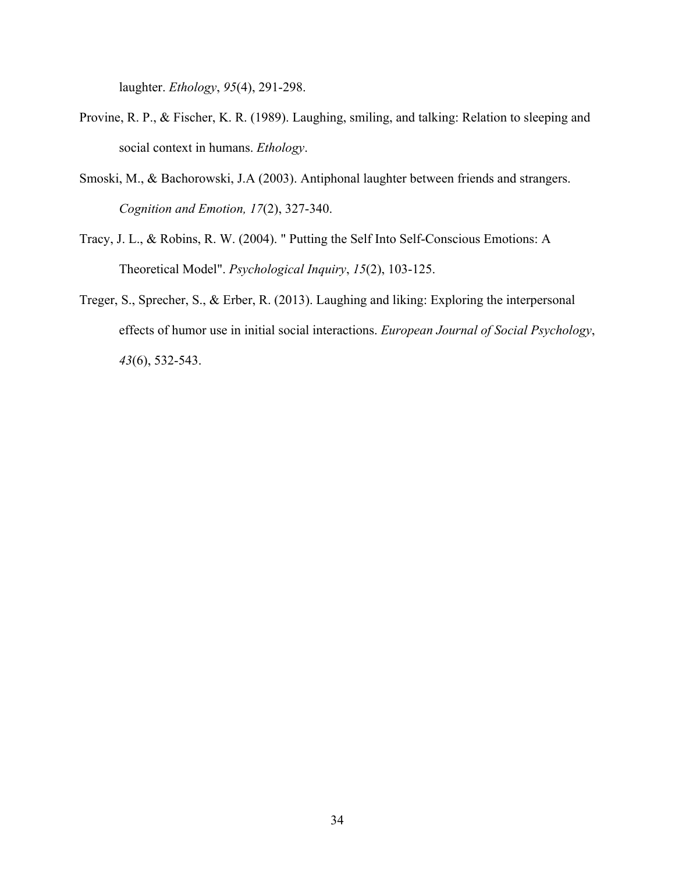laughter. *Ethology*, *95*(4), 291-298.

- Provine, R. P., & Fischer, K. R. (1989). Laughing, smiling, and talking: Relation to sleeping and social context in humans. *Ethology*.
- Smoski, M., & Bachorowski, J.A (2003). Antiphonal laughter between friends and strangers. *Cognition and Emotion, 17*(2), 327-340.
- Tracy, J. L., & Robins, R. W. (2004). " Putting the Self Into Self-Conscious Emotions: A Theoretical Model". *Psychological Inquiry*, *15*(2), 103-125.
- Treger, S., Sprecher, S., & Erber, R. (2013). Laughing and liking: Exploring the interpersonal effects of humor use in initial social interactions. *European Journal of Social Psychology*, *43*(6), 532-543.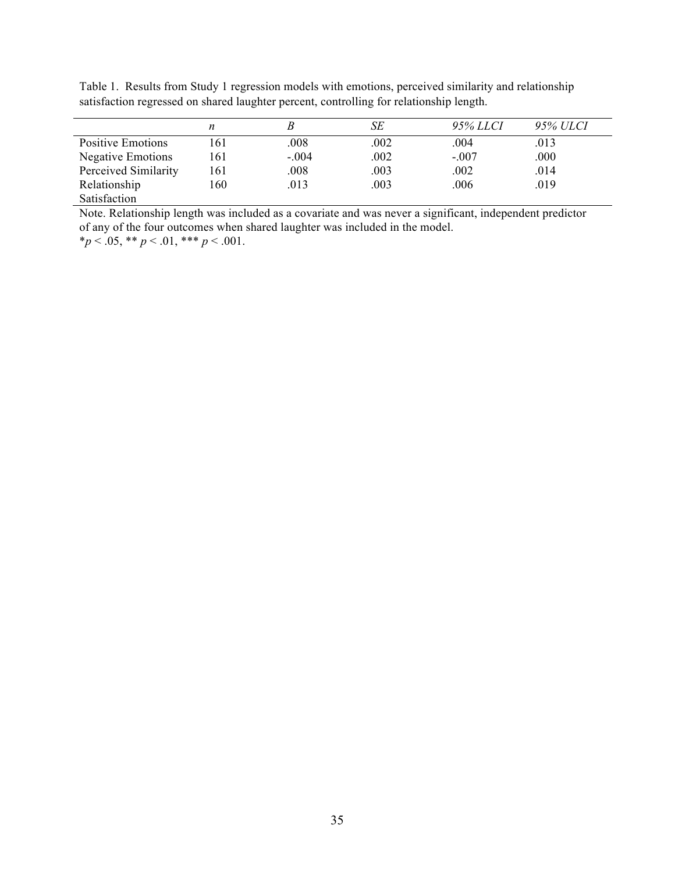Table 1. Results from Study 1 regression models with emotions, perceived similarity and relationship satisfaction regressed on shared laughter percent, controlling for relationship length.

|                          | n   |         | SE   | 95% LLCI | 95% ULCI |
|--------------------------|-----|---------|------|----------|----------|
| Positive Emotions        | 161 | .008    | .002 | .004     | .013     |
| <b>Negative Emotions</b> | 161 | $-.004$ | .002 | $-.007$  | .000     |
| Perceived Similarity     | 161 | .008    | .003 | .002     | .014     |
| Relationship             | 160 | .013    | .003 | .006     | .019     |
| Satisfaction             |     |         |      |          |          |

Note. Relationship length was included as a covariate and was never a significant, independent predictor of any of the four outcomes when shared laughter was included in the model.

\**p* < .05, \*\* *p* < .01, \*\*\* *p* < .001.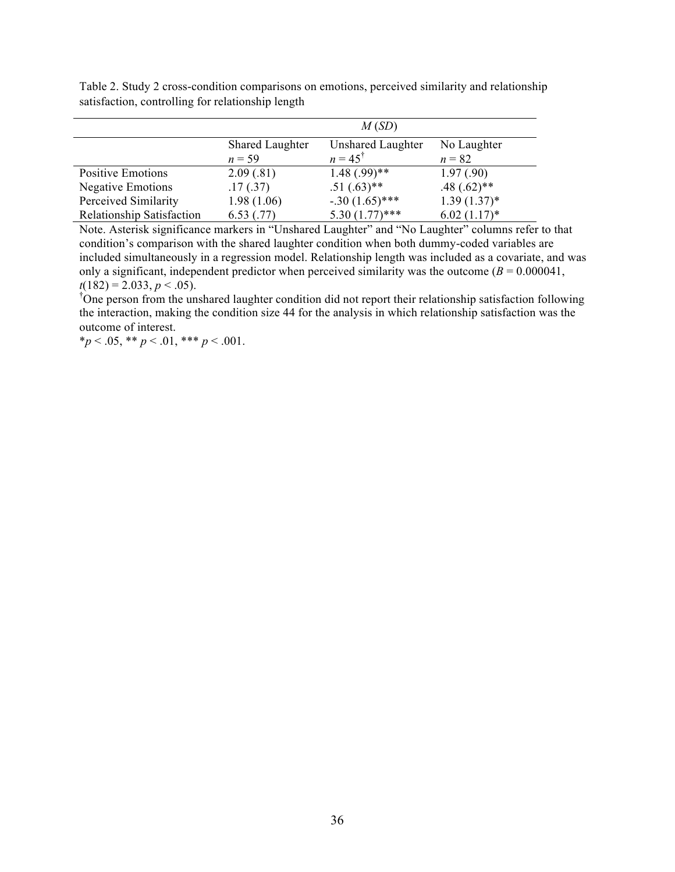|                           | M(SD)                  |                          |                |  |  |
|---------------------------|------------------------|--------------------------|----------------|--|--|
|                           | <b>Shared Laughter</b> | <b>Unshared Laughter</b> | No Laughter    |  |  |
|                           | $n = 59$               | $n = 45^{\dagger}$       | $n = 82$       |  |  |
| <b>Positive Emotions</b>  | 2.09(.81)              | $1.48(.99)$ **           | 1.97(0.90)     |  |  |
| <b>Negative Emotions</b>  | .17(0.37)              | $.51(.63)$ **            | $.48(.62)$ **  |  |  |
| Perceived Similarity      | 1.98(1.06)             | $-.30(1.65)$ ***         | $1.39(1.37)^*$ |  |  |
| Relationship Satisfaction | 6.53(0.77)             | $5.30(1.77)$ ***         | $6.02(1.17)^*$ |  |  |

Table 2. Study 2 cross-condition comparisons on emotions, perceived similarity and relationship satisfaction, controlling for relationship length

Note. Asterisk significance markers in "Unshared Laughter" and "No Laughter" columns refer to that condition's comparison with the shared laughter condition when both dummy-coded variables are included simultaneously in a regression model. Relationship length was included as a covariate, and was only a significant, independent predictor when perceived similarity was the outcome ( $B = 0.000041$ ,  $t(182) = 2.033, p < .05$ .

One person from the unshared laughter condition did not report their relationship satisfaction following the interaction, making the condition size 44 for the analysis in which relationship satisfaction was the outcome of interest.

 $**p* < .05, ** *p* < .01, *** *p* < .001.$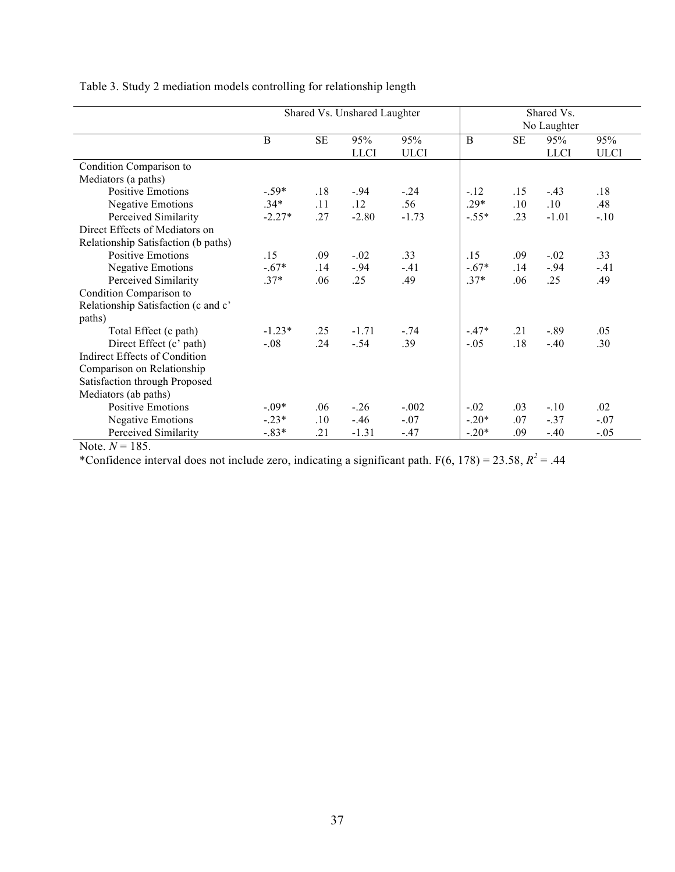|                                     | Shared Vs. Unshared Laughter |           |             |             | Shared Vs.<br>No Laughter |         |             |             |
|-------------------------------------|------------------------------|-----------|-------------|-------------|---------------------------|---------|-------------|-------------|
|                                     | B                            | <b>SE</b> | 95%         | 95%         | $\bf{B}$                  | SE      | 95%         | 95%         |
|                                     |                              |           | <b>LLCI</b> | <b>ULCI</b> |                           |         | <b>LLCI</b> | <b>ULCI</b> |
| Condition Comparison to             |                              |           |             |             |                           |         |             |             |
| Mediators (a paths)                 |                              |           |             |             |                           |         |             |             |
| <b>Positive Emotions</b>            | $-.59*$                      | .18       | $-.94$      | $-.24$      | $-12$                     | .15     | $-43$       | .18         |
| <b>Negative Emotions</b>            | $.34*$                       | .11       | .12         | .56         | $.29*$                    | $.10\,$ | .10         | .48         |
| Perceived Similarity                | $-2.27*$                     | .27       | $-2.80$     | $-1.73$     | $-.55*$                   | .23     | $-1.01$     | $-.10$      |
| Direct Effects of Mediators on      |                              |           |             |             |                           |         |             |             |
| Relationship Satisfaction (b paths) |                              |           |             |             |                           |         |             |             |
| <b>Positive Emotions</b>            | .15                          | .09       | $-.02$      | .33         | .15                       | .09     | $-.02$      | .33         |
| <b>Negative Emotions</b>            | $-.67*$                      | .14       | $-94$       | $-.41$      | $-.67*$                   | .14     | $-.94$      | $-.41$      |
| Perceived Similarity                | $.37*$                       | .06       | .25         | .49         | $.37*$                    | .06     | .25         | .49         |
| Condition Comparison to             |                              |           |             |             |                           |         |             |             |
| Relationship Satisfaction (c and c' |                              |           |             |             |                           |         |             |             |
| paths)                              |                              |           |             |             |                           |         |             |             |
| Total Effect (c path)               | $-1.23*$                     | .25       | $-1.71$     | $-.74$      | $-.47*$                   | .21     | $-.89$      | .05         |
| Direct Effect (c' path)             | $-.08$                       | .24       | $-.54$      | .39         | $-.05$                    | .18     | $-.40$      | .30         |
| Indirect Effects of Condition       |                              |           |             |             |                           |         |             |             |
| Comparison on Relationship          |                              |           |             |             |                           |         |             |             |
| Satisfaction through Proposed       |                              |           |             |             |                           |         |             |             |
| Mediators (ab paths)                |                              |           |             |             |                           |         |             |             |
| <b>Positive Emotions</b>            | $-0.09*$                     | .06       | $-26$       | $-.002$     | $-.02$                    | .03     | $-.10$      | .02         |
| <b>Negative Emotions</b>            | $-.23*$                      | .10       | $-46$       | $-.07$      | $-.20*$                   | .07     | $-.37$      | $-.07$      |
| Perceived Similarity                | $-.83*$                      | .21       | $-1.31$     | $-.47$      | $-.20*$                   | .09     | $-.40$      | $-.05$      |

Table 3. Study 2 mediation models controlling for relationship length

Note.  $N = 185$ .

\*Confidence interval does not include zero, indicating a significant path.  $F(6, 178) = 23.58$ ,  $R^2 = .44$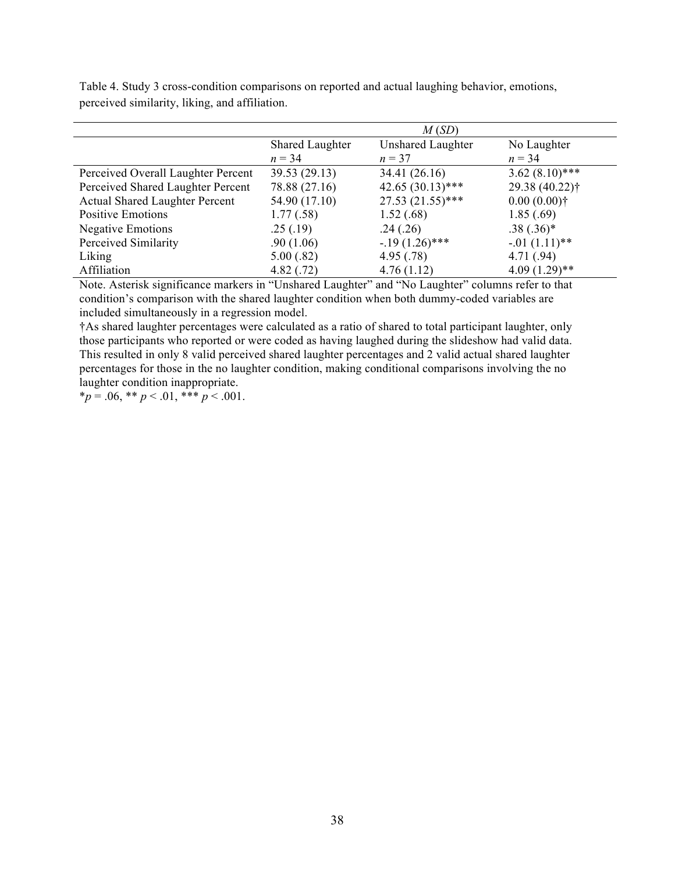|                                       | M(SD)                  |                          |                            |  |  |
|---------------------------------------|------------------------|--------------------------|----------------------------|--|--|
|                                       | <b>Shared Laughter</b> | <b>Unshared Laughter</b> | No Laughter                |  |  |
|                                       | $n = 34$               | $n = 37$                 | $n = 34$                   |  |  |
| Perceived Overall Laughter Percent    | 39.53 (29.13)          | 34.41 (26.16)            | $3.62(8.10)$ ***           |  |  |
| Perceived Shared Laughter Percent     | 78.88 (27.16)          | $42.65(30.13)$ ***       | 29.38 (40.22) <sup>†</sup> |  |  |
| <b>Actual Shared Laughter Percent</b> | 54.90 (17.10)          | $27.53(21.55)$ ***       | $0.00(0.00)$ †             |  |  |
| <b>Positive Emotions</b>              | 1.77(.58)              | 1.52(.68)                | 1.85(.69)                  |  |  |
| <b>Negative Emotions</b>              | .25(.19)               | .24(.26)                 | $.38(.36)*$                |  |  |
| Perceived Similarity                  | .90(1.06)              | $-19(1.26)$ ***          | $-01(1.11)$ **             |  |  |
| Liking                                | 5.00(.82)              | 4.95(.78)                | 4.71(.94)                  |  |  |
| Affiliation                           | 4.82(.72)              | 4.76(1.12)               | $4.09(1.29)$ **            |  |  |

Table 4. Study 3 cross-condition comparisons on reported and actual laughing behavior, emotions, perceived similarity, liking, and affiliation.

Note. Asterisk significance markers in "Unshared Laughter" and "No Laughter" columns refer to that condition's comparison with the shared laughter condition when both dummy-coded variables are included simultaneously in a regression model.

†As shared laughter percentages were calculated as a ratio of shared to total participant laughter, only those participants who reported or were coded as having laughed during the slideshow had valid data. This resulted in only 8 valid perceived shared laughter percentages and 2 valid actual shared laughter percentages for those in the no laughter condition, making conditional comparisons involving the no laughter condition inappropriate.

 $*_p = .06, ** p < .01, *** p < .001.$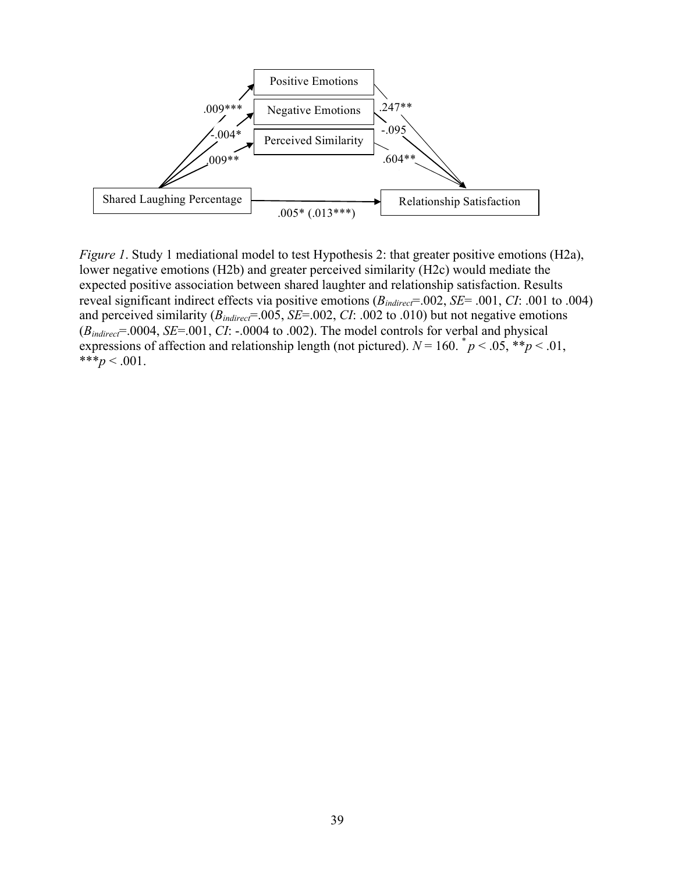

*Figure 1*. Study 1 mediational model to test Hypothesis 2: that greater positive emotions (H2a), lower negative emotions (H2b) and greater perceived similarity (H2c) would mediate the expected positive association between shared laughter and relationship satisfaction. Results reveal significant indirect effects via positive emotions (*Bindirect*=.002, *SE*= .001, *CI*: .001 to .004) and perceived similarity ( $B_{indirect}$ =.005, *SE*=.002, *CI*: .002 to .010) but not negative emotions (*Bindirect*=.0004, *SE*=.001, *CI*: -.0004 to .002). The model controls for verbal and physical expressions of affection and relationship length (not pictured).  $N = 160$ .  $p < .05$ ,  $\frac{1}{2}p < .01$ , \*\*\* $p < .001$ .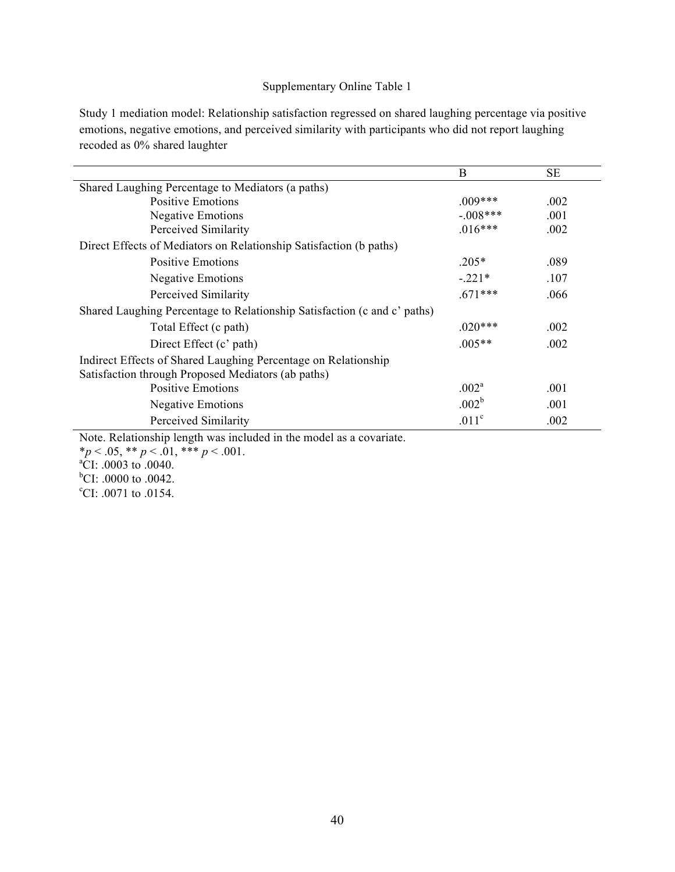## Supplementary Online Table 1

Study 1 mediation model: Relationship satisfaction regressed on shared laughing percentage via positive emotions, negative emotions, and perceived similarity with participants who did not report laughing recoded as 0% shared laughter

|                                                                          | B                 | SE   |  |  |
|--------------------------------------------------------------------------|-------------------|------|--|--|
| Shared Laughing Percentage to Mediators (a paths)                        |                   |      |  |  |
| <b>Positive Emotions</b>                                                 | $.009***$         | .002 |  |  |
| <b>Negative Emotions</b>                                                 | $-.008***$        | .001 |  |  |
| Perceived Similarity                                                     | $.016***$         | .002 |  |  |
| Direct Effects of Mediators on Relationship Satisfaction (b paths)       |                   |      |  |  |
| Positive Emotions                                                        | $.205*$           | .089 |  |  |
| <b>Negative Emotions</b>                                                 | $-.221*$          | .107 |  |  |
| Perceived Similarity                                                     | $.671***$         | .066 |  |  |
| Shared Laughing Percentage to Relationship Satisfaction (c and c' paths) |                   |      |  |  |
| Total Effect (c path)                                                    | $.020***$         | .002 |  |  |
| Direct Effect (c' path)                                                  | $.005**$          | .002 |  |  |
| Indirect Effects of Shared Laughing Percentage on Relationship           |                   |      |  |  |
| Satisfaction through Proposed Mediators (ab paths)                       |                   |      |  |  |
| <b>Positive Emotions</b>                                                 | .002 <sup>a</sup> | .001 |  |  |
| <b>Negative Emotions</b>                                                 | .002 <sup>b</sup> | .001 |  |  |
| Perceived Similarity                                                     | .011 <sup>c</sup> | .002 |  |  |

Note. Relationship length was included in the model as a covariate.

\**p* < .05, \*\* *p* < .01, \*\*\* *p* < .001.<br><sup>a</sup>CI: .0003 to .0040.

 $^{b}$ CI: .0000 to .0042.

<sup>c</sup>CI: .0071 to .0154.